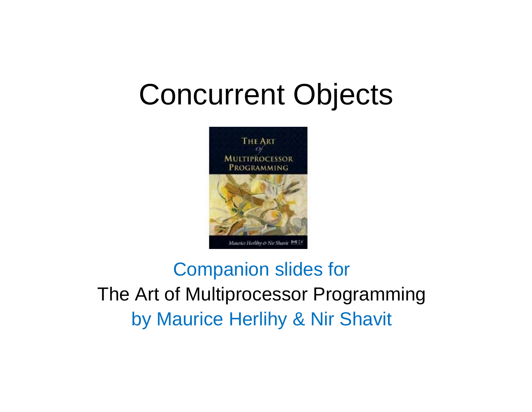### Concurrent Objects



#### Companion slides for The Art of Multiprocessor Programming by Maurice Herlihy & Nir Shavit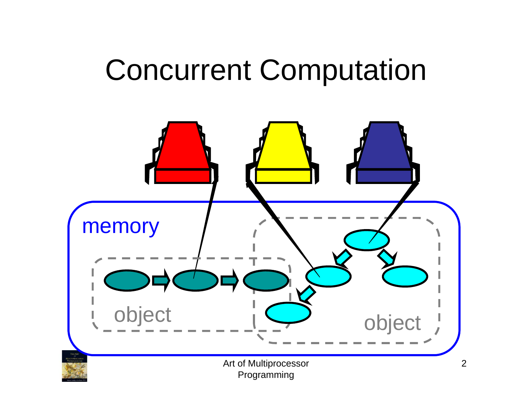### Concurrent Computation

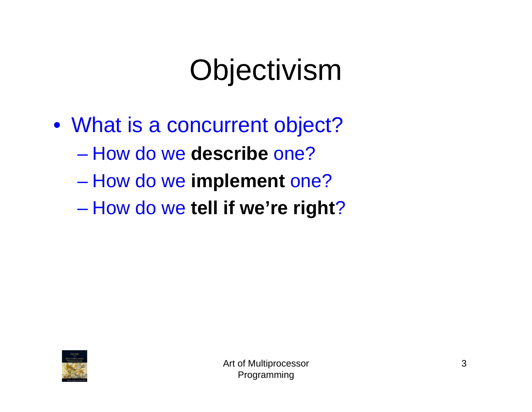# **Objectivism**

- What is a concurrent object?
	- How do we **describe** one?
	- $\mathcal{L}_{\mathcal{A}}$ How do we **implement** one?
	- $\mathcal{L}_{\mathcal{A}}$  , and the set of the set of the set of the set of the set of the set of the set of the set of the set of the set of the set of the set of the set of the set of the set of the set of the set of the set of th How do we **tell if we're right**?

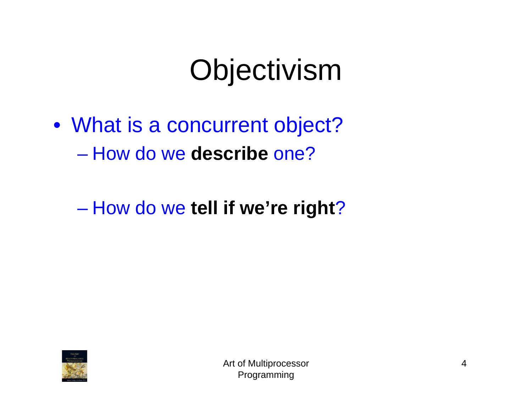# **Objectivism**

• What is a concurrent object? – How do we **describe** one?

 $\mathcal{L}_{\mathcal{A}}$  , and the set of the set of the set of the set of the set of the set of the set of the set of the set of the set of the set of the set of the set of the set of the set of the set of the set of the set of th How do we **tell if we're right**?

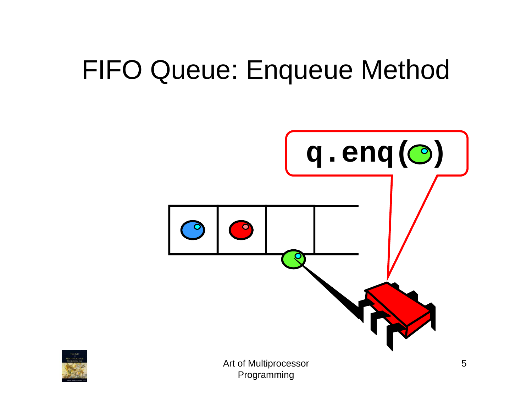### FIFO Queue: Enqueue Method



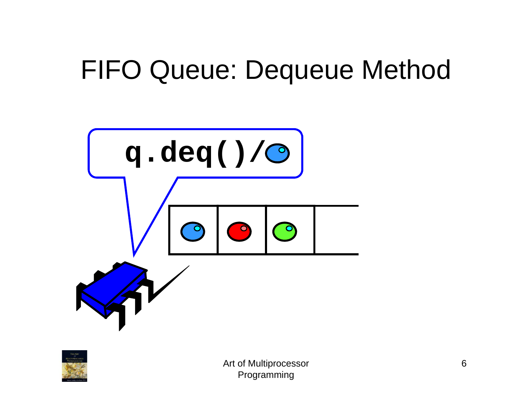#### **FIFO Queue: Dequeue Method**



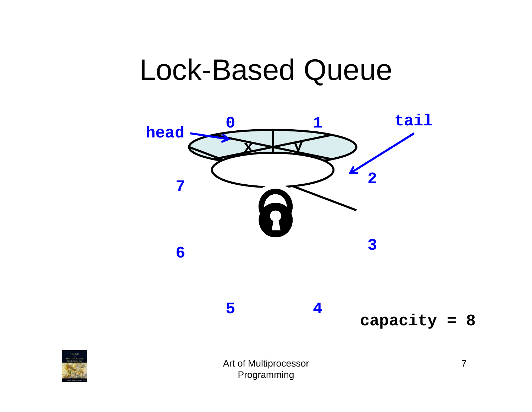#### Lock-Based Queue





Programming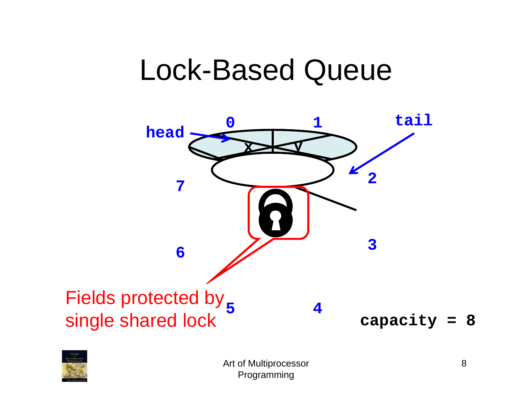#### Lock-Based Queue



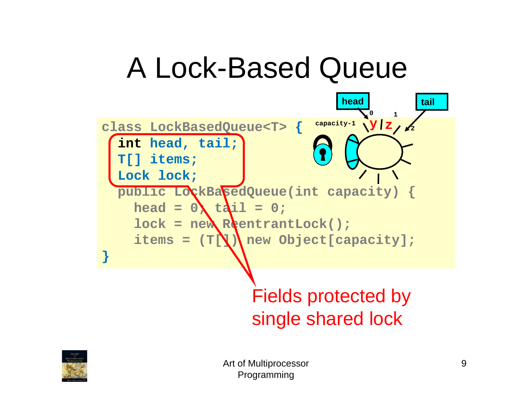### A Lock-Based Queue



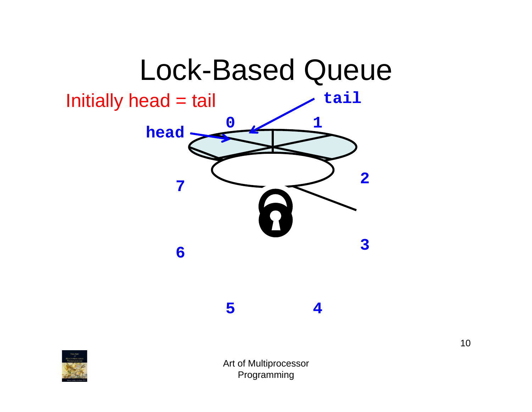### Lock-Based Queue



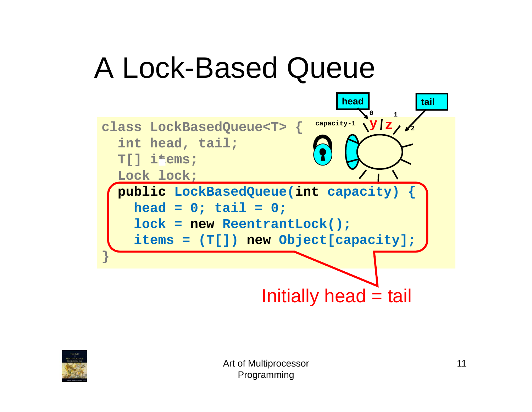### A Lock-Based Queue



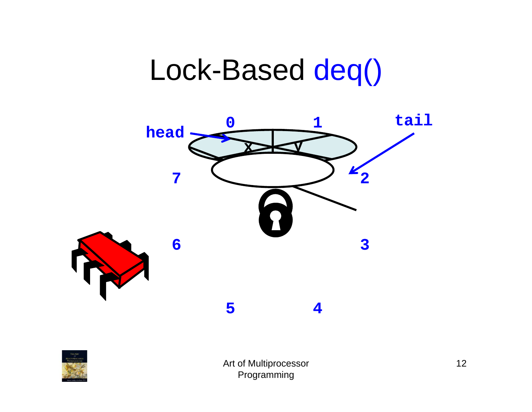#### Lock-Based deq()



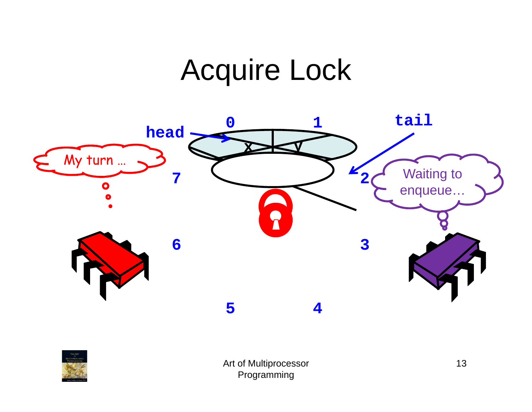#### **Acquire Lock**



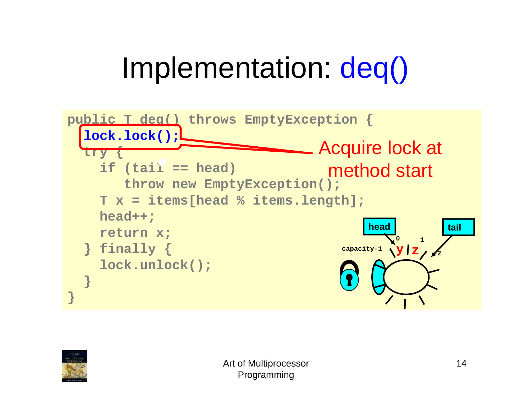

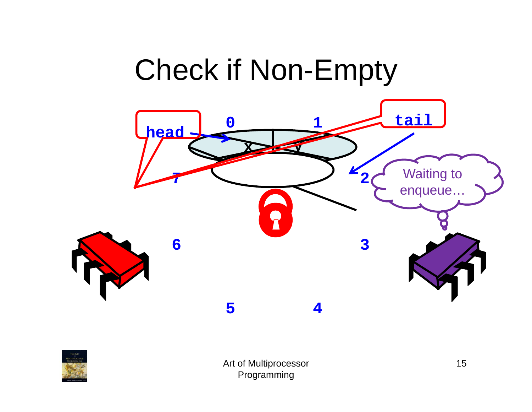

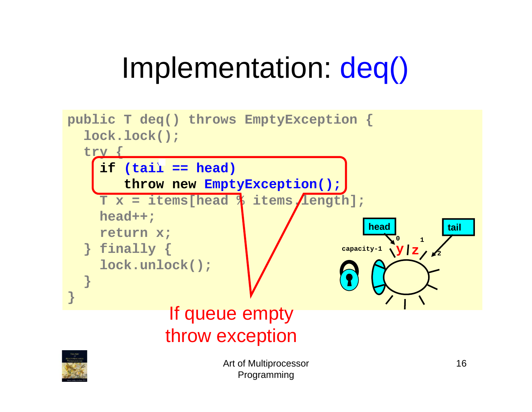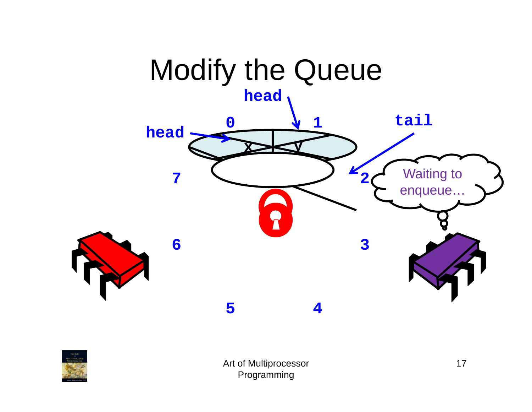

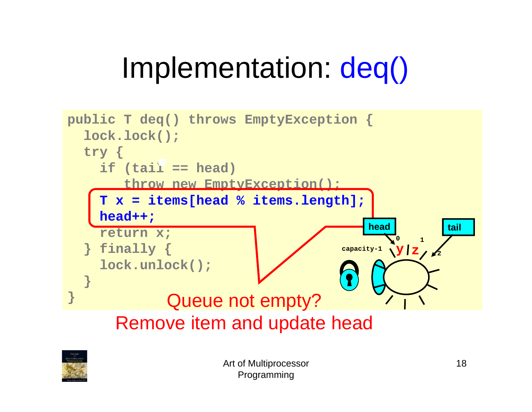

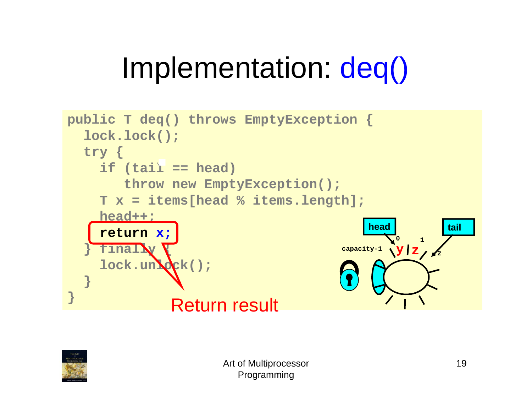

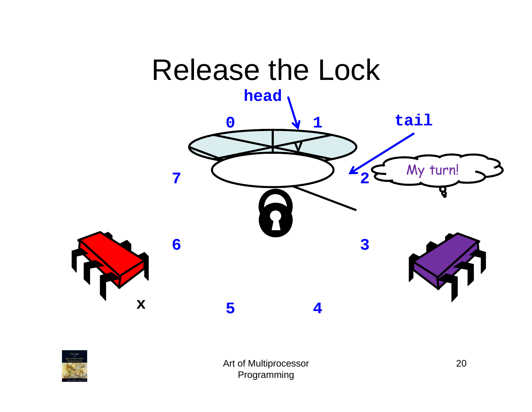

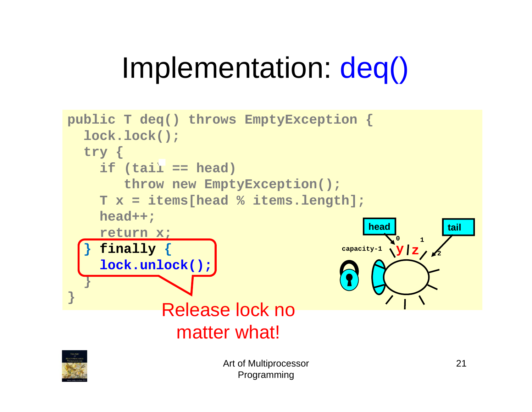```
public T deq() throws EmptyException {
  lock.lock(); 
  try { 
     if (tail == head) 
         throw new EmptyException(); 
     T x = items[head % items.length]; 
     head++; 
     return x; 
  } finally 
{
     lock.unlock(); 
   } 
} 
                         Art of Multiprocessor 
                                                              21Release lock no 
                 matter what!
                                                     0 1\overline{\mathbf{y}} z \overline{\mathbf{z}}head tail
```
Programming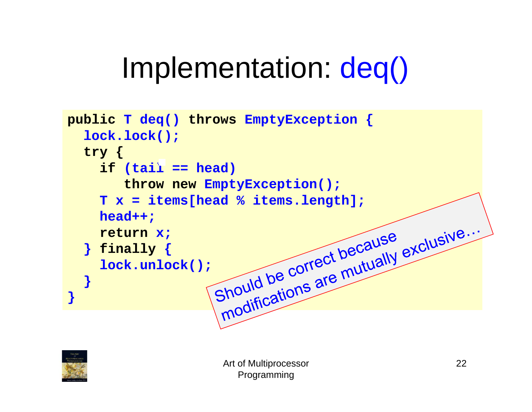```
public T deq() throws EmptyException {
  lock.lock(); 
  try { 
     if (tail == head) 
         throw new EmptyException(); 
     T x = items[head % items.length]; 
     head++; 
     return x; 
   } finally { 
     lock.unlock();<br>
Should be correct because<br>
Should be correct because<br>
should be correct because
   } 
}
```
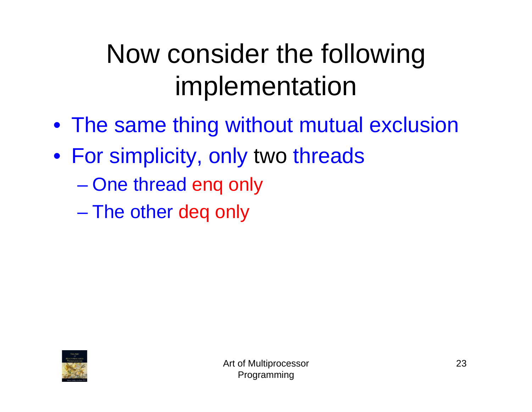### Now consider the following implementation

- The same thing without mutual exclusion
- For simplicity, only two threads
	- $\mathcal{L}_{\mathcal{A}}$  , and the set of the set of the set of the set of the set of the set of the set of the set of the set of the set of the set of the set of the set of the set of the set of the set of the set of the set of th One thread enq only
	- $\mathcal{L}_{\mathcal{A}}$ The other deq only

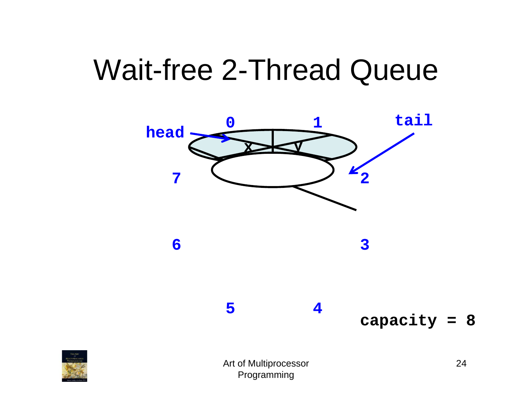

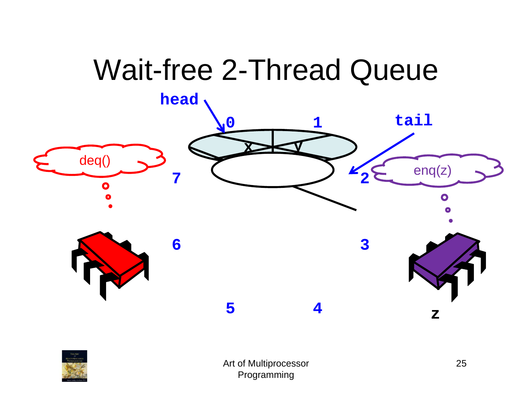

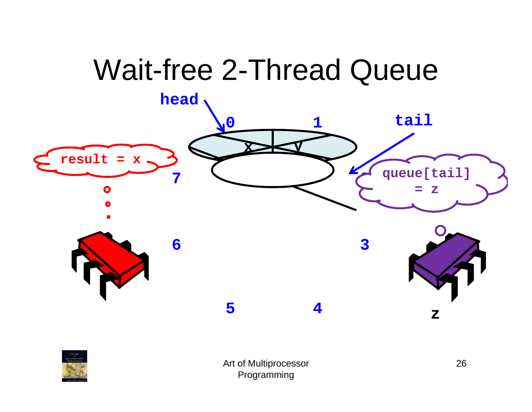

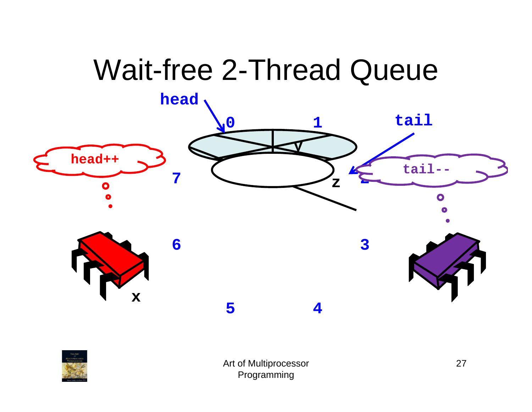

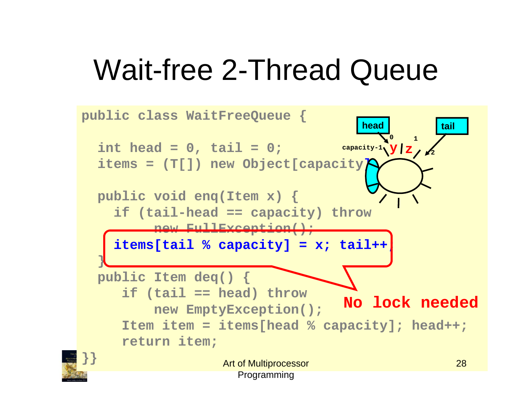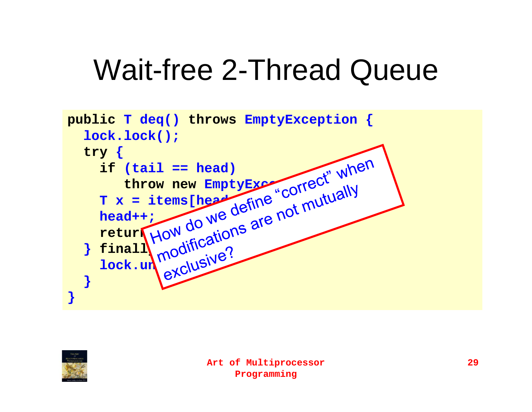

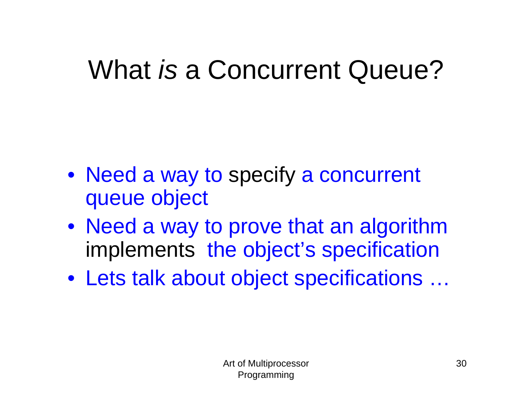### What *is* a Concurrent Queue?

- Need a way to specify a concurrent queue object
- Need a way to prove that an algorithm implements the object's specification
- Lets talk about object specifications …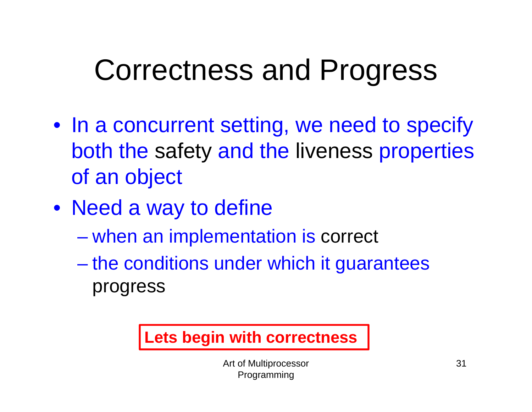# Correctness and Progress

- In a concurrent setting, we need to specify both the safety and the liveness properties of an object
- Need a way to define
	- –when an implementation is correct
	- $\mathcal{L}_{\mathcal{A}}$  , and the set of the set of the set of the set of the set of the set of the set of the set of the set of the set of the set of the set of the set of the set of the set of the set of the set of the set of th the conditions under which it guarantees progress

#### **Lets begin with correctness**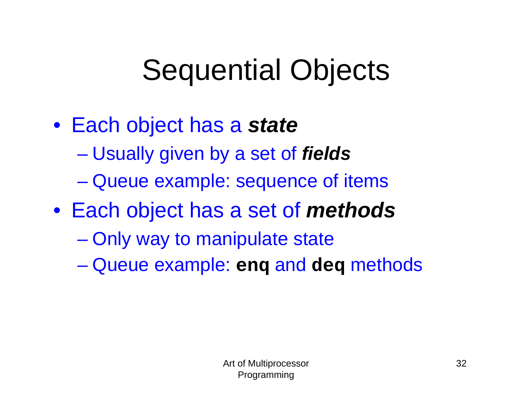# Sequential Objects

- Each object has a *state*
	- Usually given by a set of *fields*
	- $\mathcal{L}_{\mathcal{A}}$ Queue example: sequence of items
- Each object has a set of *methods*
	- Only way to manipulate state
	- Queue example: **enq** and **deq** methods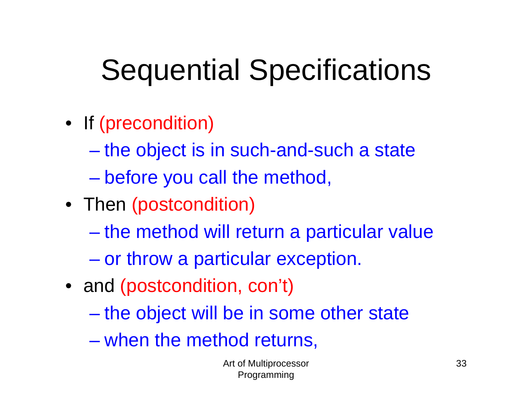# Sequential Specifications

- If (precondition)
	- the object is in such-and-such a state
	- –before you call the method,
- Then (postcondition)
	- –the method will return a particular value
	- or throw a particular exception.
- and (postcondition, con't)
	- $\mathcal{L}_{\mathcal{A}}$ the object will be in some other state
	- $\mathcal{L}_{\mathcal{A}}$  , and the set of the set of the set of the set of the set of the set of the set of the set of the set of the set of the set of the set of the set of the set of the set of the set of the set of the set of th when the method returns,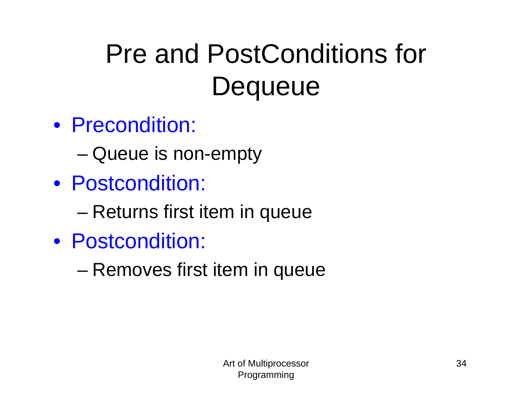### Pre and PostConditions for **Dequeue**

- Precondition:
	- Queue is non-empty
- Postcondition:
	- –Returns first item in queue
- Postcondition:
	- –Removes first item in queue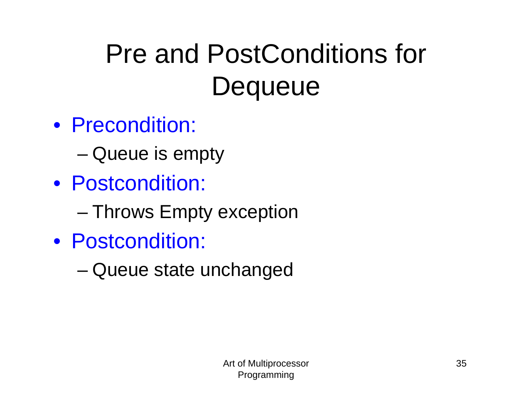### Pre and PostConditions for **Dequeue**

- Precondition:
	- Queue is empty
- Postcondition:
	- –Throws Empty exception
- Postcondition:
	- –Queue state unchanged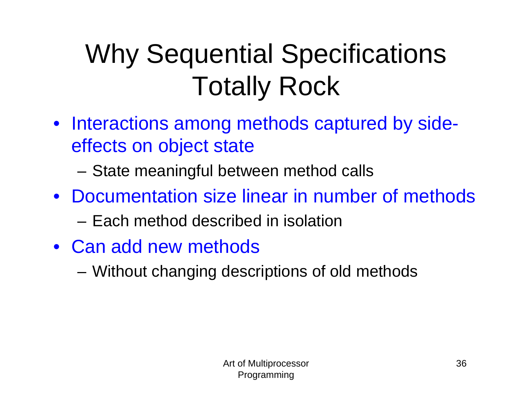### Why Sequential Specifications Totally Rock

- Interactions among methods captured by sideeffects on object state
	- –State meaningful between method calls
- Documentation size linear in number of methods
	- Each method described in isolation
- Can add new methods
	- Without changing descriptions of old methods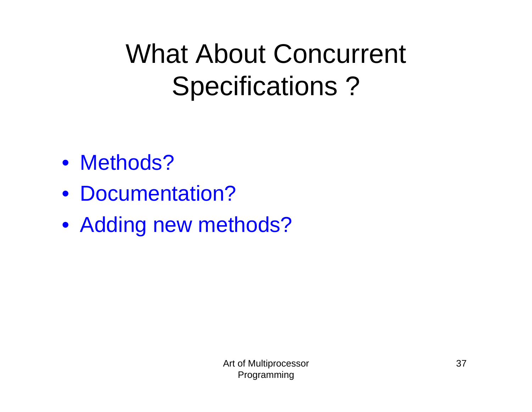What About Concurrent Specifications ?

- Methods?
- Documentation?
- Adding new methods?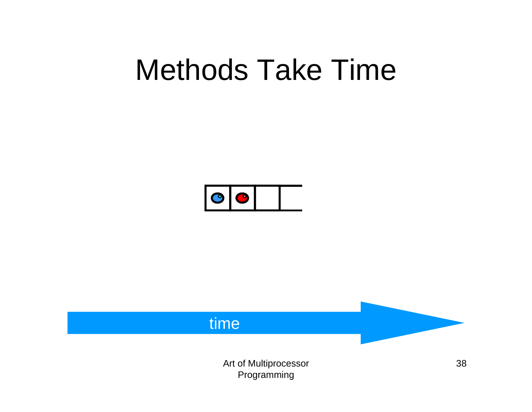

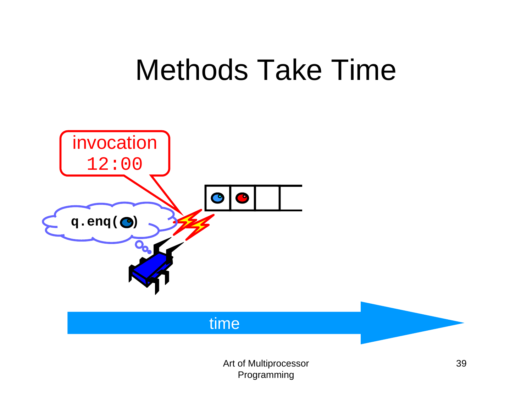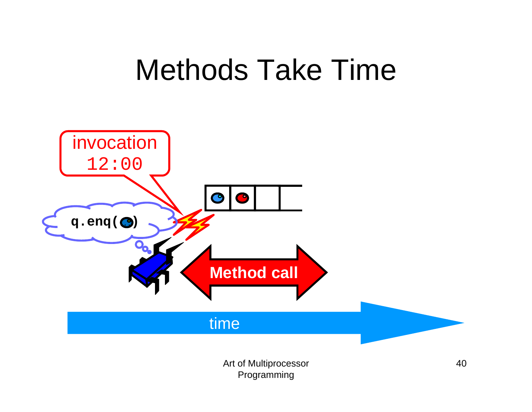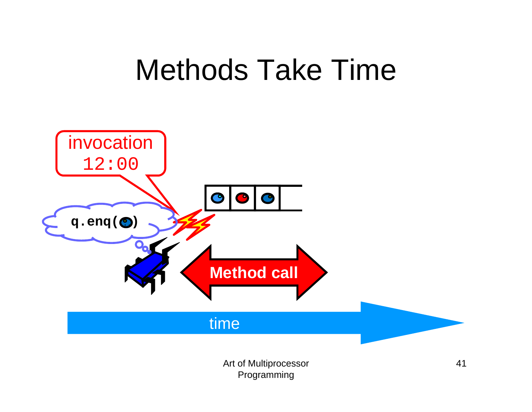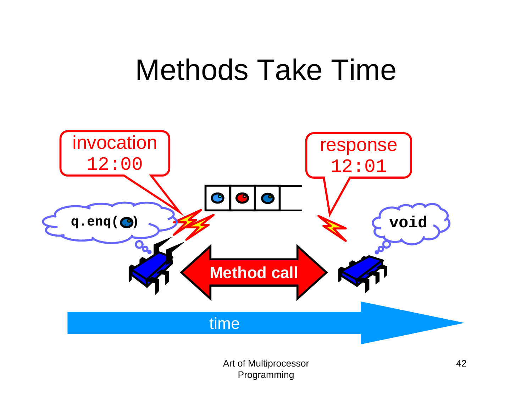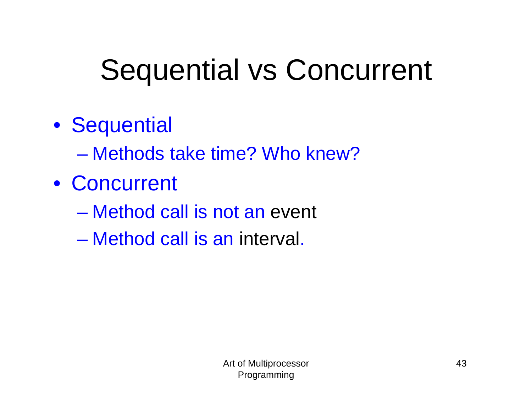- Sequential
	- Methods take time? Who knew?
- Concurrent
	- Method call is not an event
	- Method call is an interval.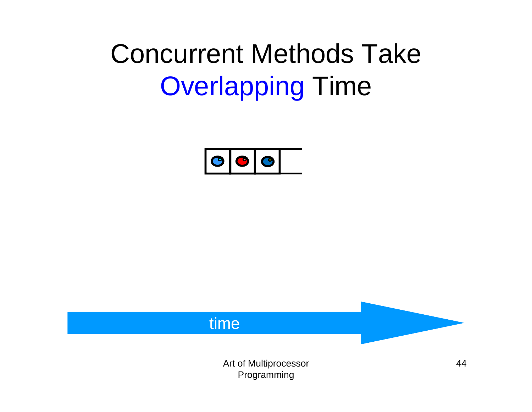



Programming

44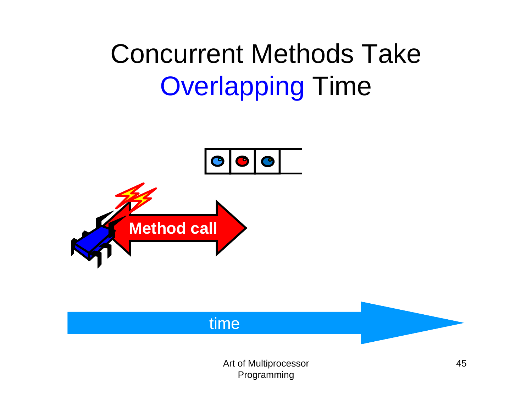

#### time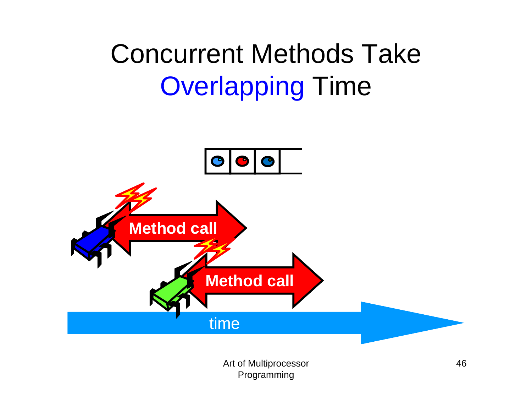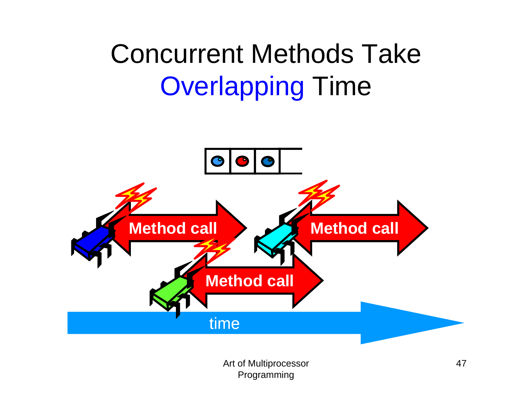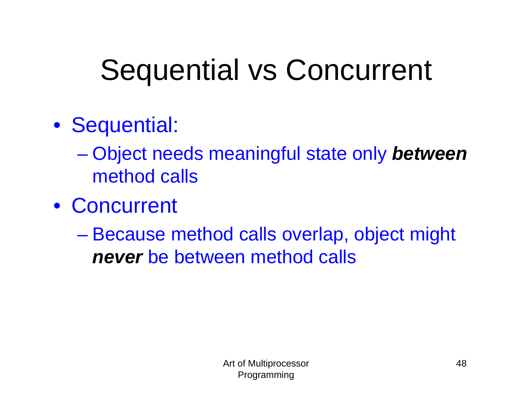- Sequential:
	- Object needs meaningful state only *between* method calls
- Concurrent
	- Because method calls overlap, object might *never* be between method calls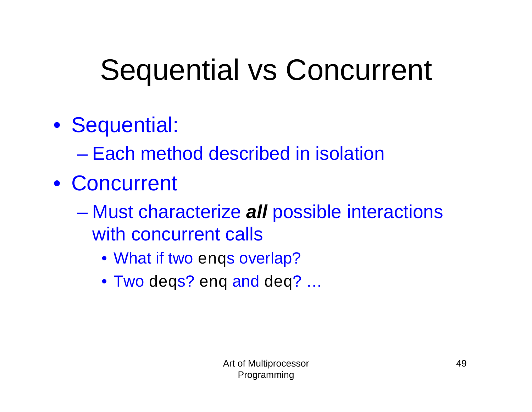- Sequential:
	- Each method described in isolation
- Concurrent
	- $\mathcal{L}_{\mathcal{A}}$  Must characterize *all* possible interactions with concurrent calls
		- What if two enqs overlap?
		- $\bullet$  Two deqs? enq and deq? …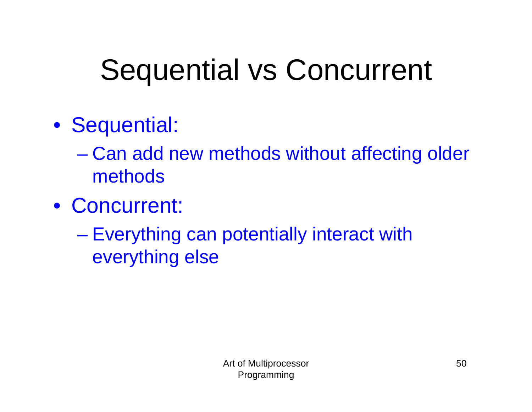- Sequential:
	- Can add new methods without affecting older methods
- Concurrent:
	- Everything can potentially interact with everything else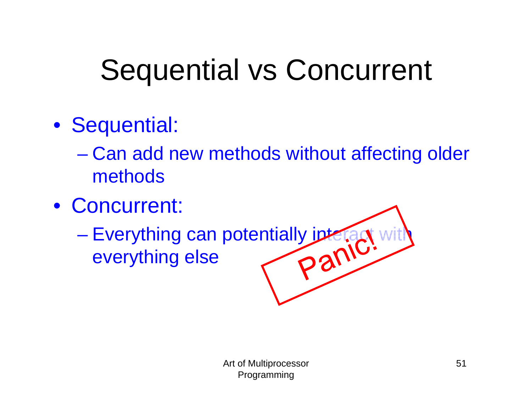- Sequential:
	- Can add new methods without affecting older methods
- Concurrent:
	- Everything can potentially jute ract with everything else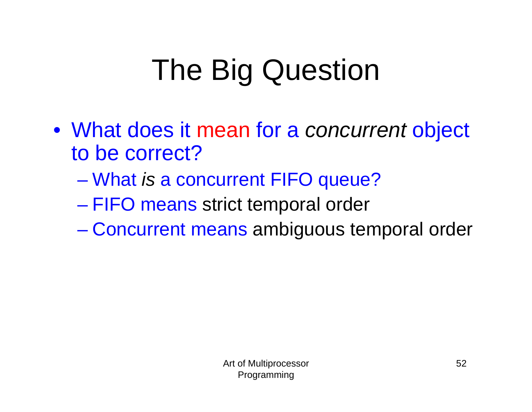# The Big Question

- What does it mean for a *concurrent* object to be correct?
	- What *is* a concurrent FIFO queue?
	- $\mathcal{L}_{\mathcal{A}}$  , and the set of the set of the set of the set of the set of the set of the set of the set of the set of the set of the set of the set of the set of the set of the set of the set of the set of the set of th FIFO means strict temporal order
	- Concurrent means ambiguous temporal order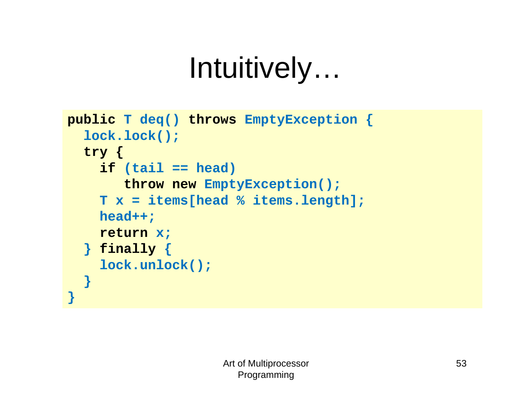# Intuitively…

```
public T deq() throws EmptyException {
  lock.lock(); 
  try { 
    if (tail == head) 
       throw new EmptyException(); 
    T x = items[head % items.length]; 
    head++; 
    return x; 
  } finally {
    lock.unlock(); 
  } 
}
```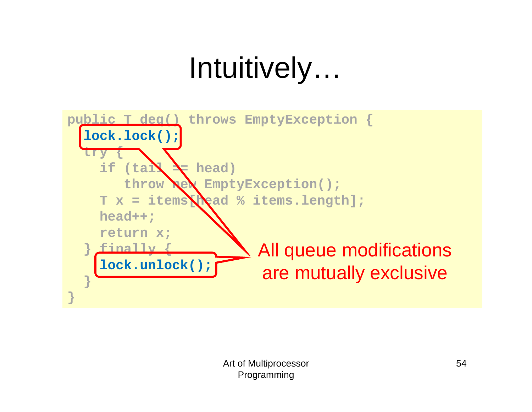# Intuitively…

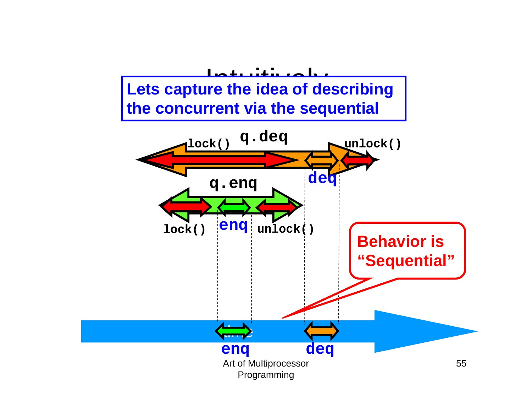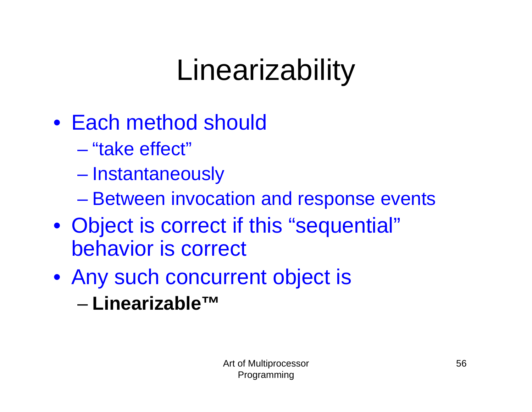# Linearizability

- Each method should
	- "take effect"
	- $\mathcal{L}_{\mathcal{A}}$  , and the set of the set of the set of the set of the set of the set of the set of the set of the set of the set of the set of the set of the set of the set of the set of the set of the set of the set of th **Instantaneously**
	- Between invocation and response events
- Object is correct if this "sequential" behavior is correct
- Any such concurrent object is
	- **Linearizable™**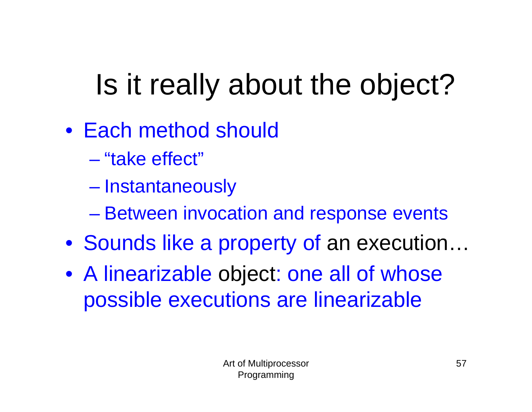# Is it really about the object?

- Each method should
	- "take effect"
	- –Instantaneously
	- Between invocation and response events
- Sounds like a property of an execution…
- A linearizable object: one all of whose possible executions are linearizable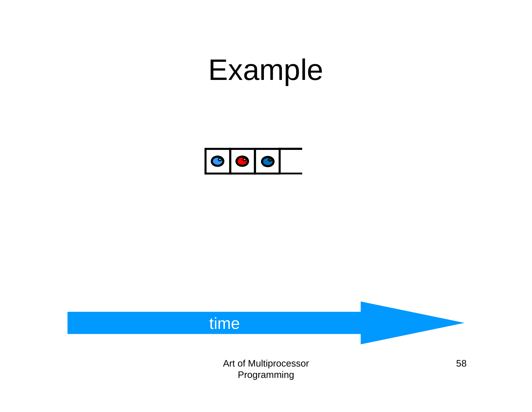



Programming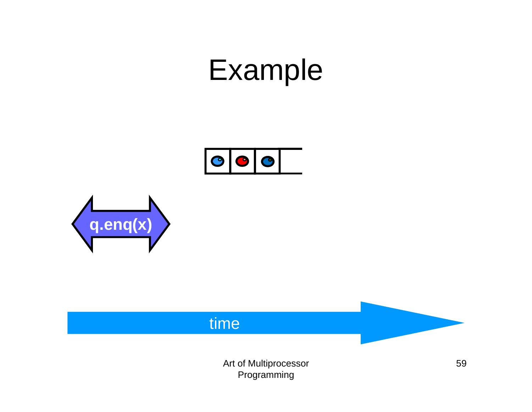



#### time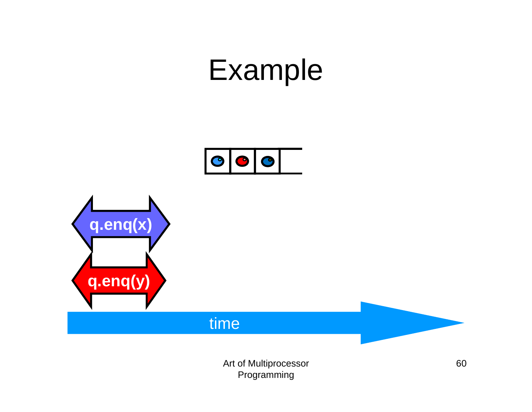



Programming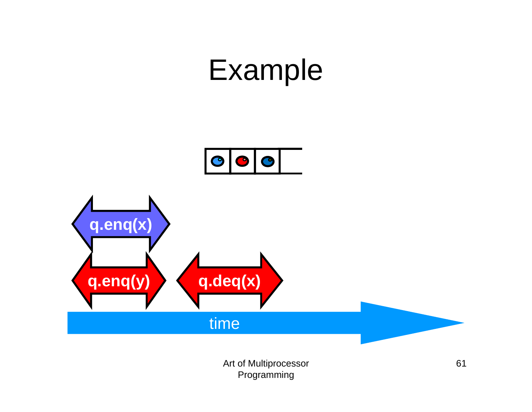

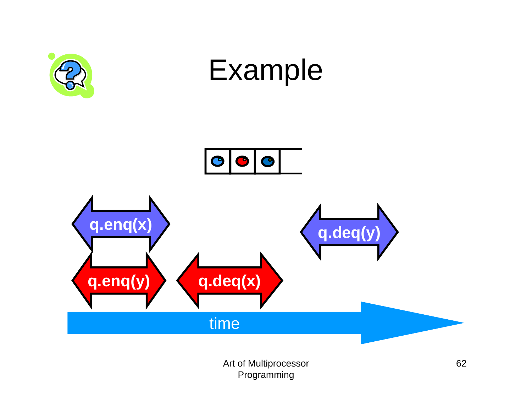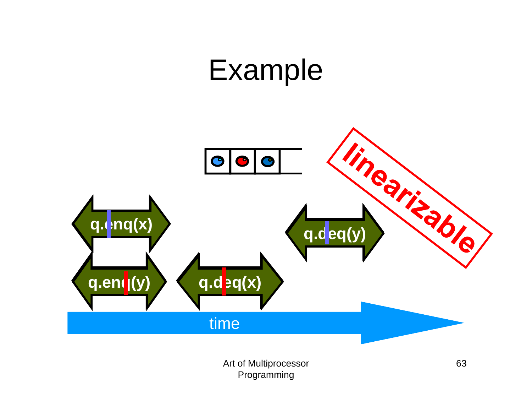

Programming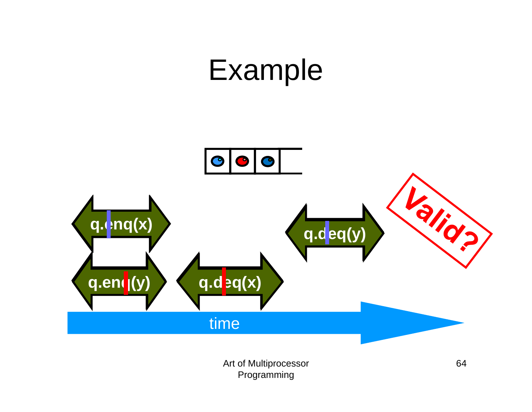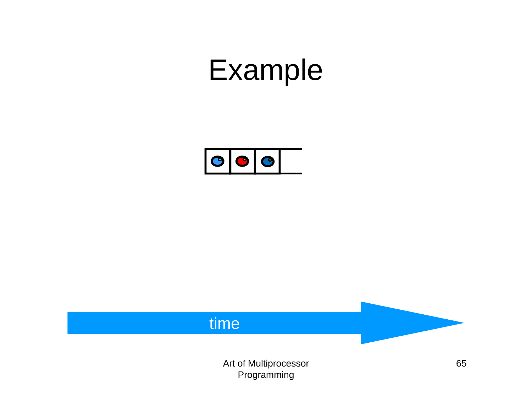



Programming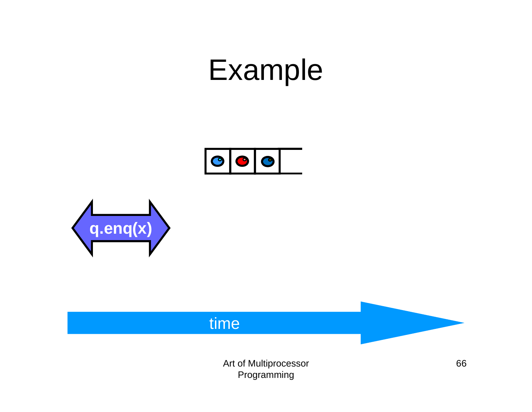



#### time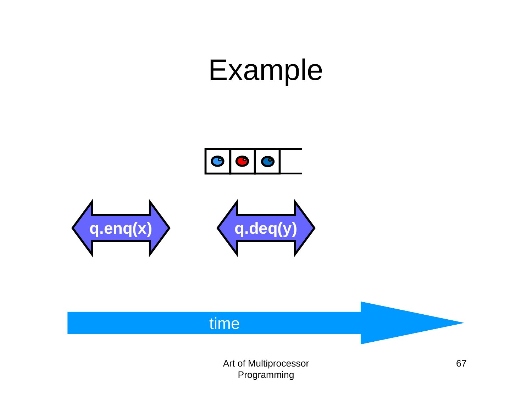





#### time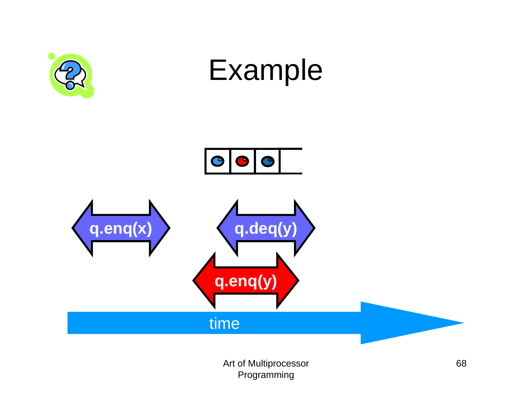



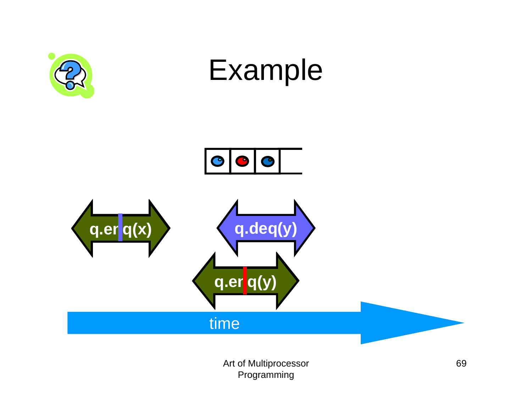



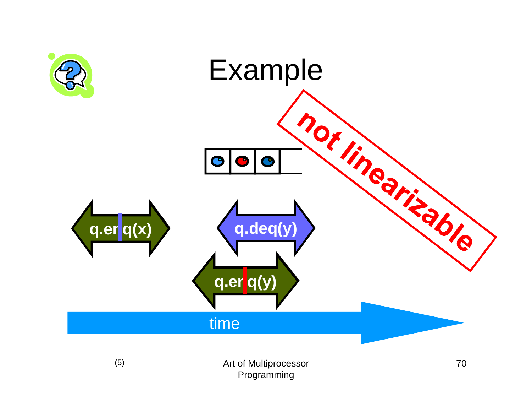

Programming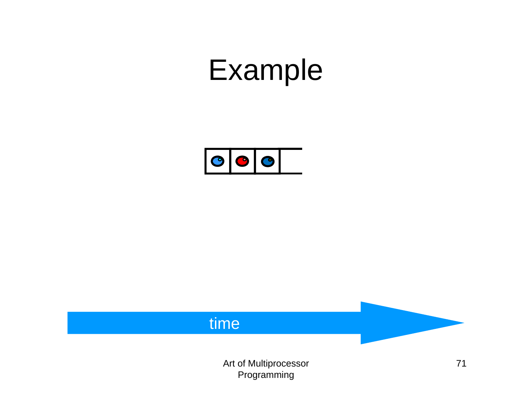



Programming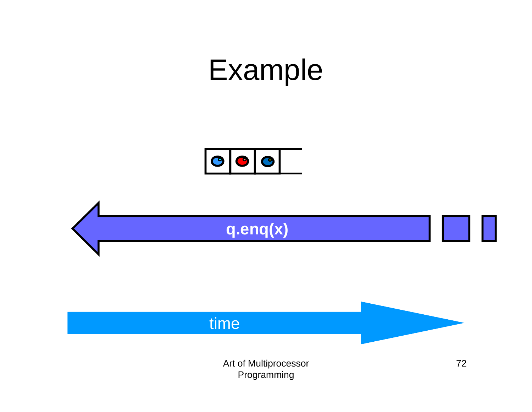

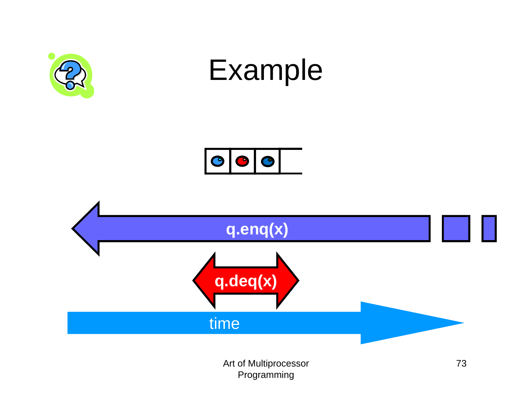



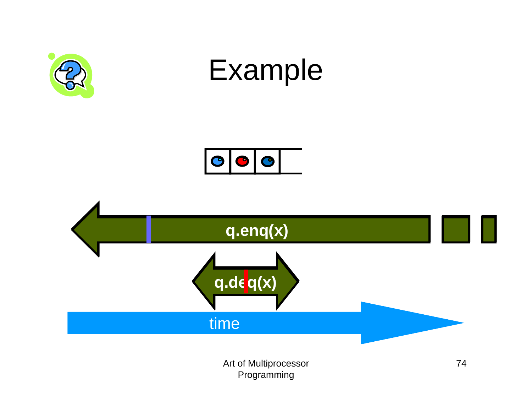



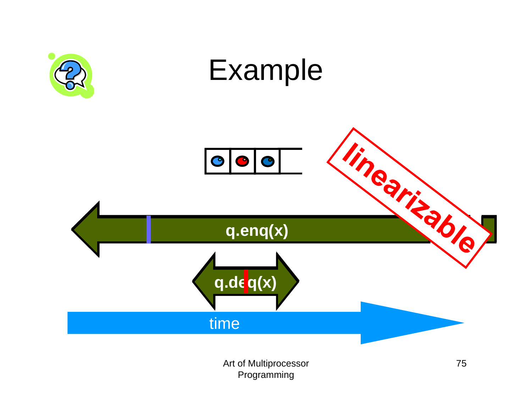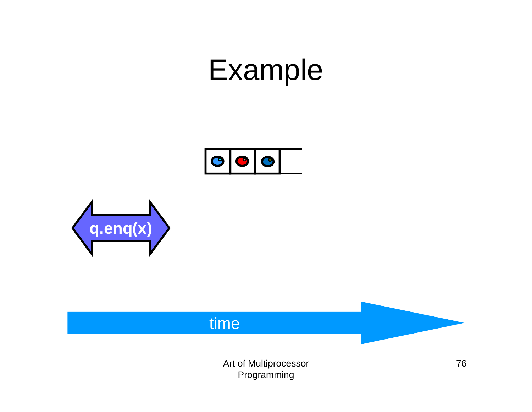



#### time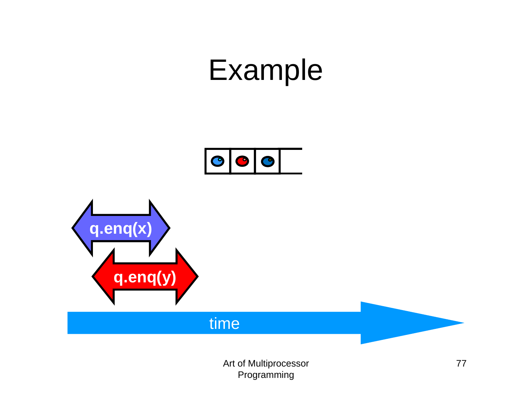

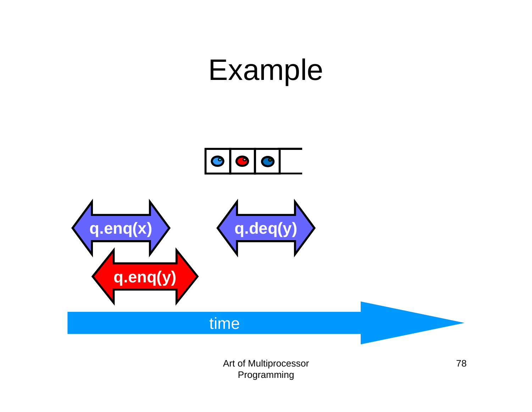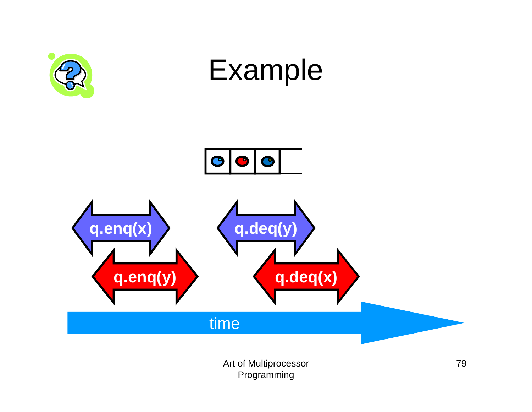



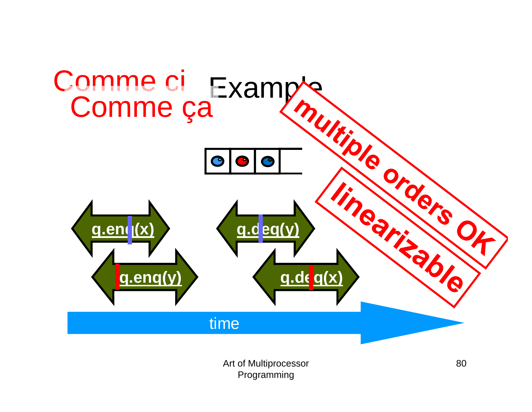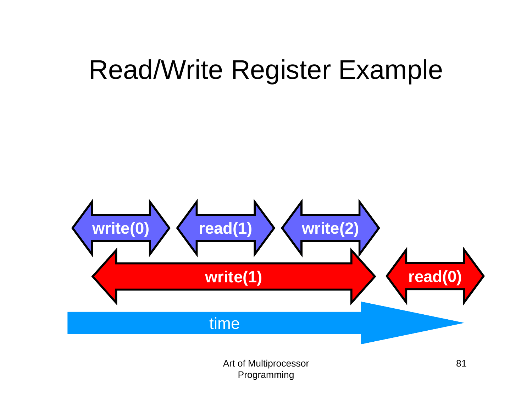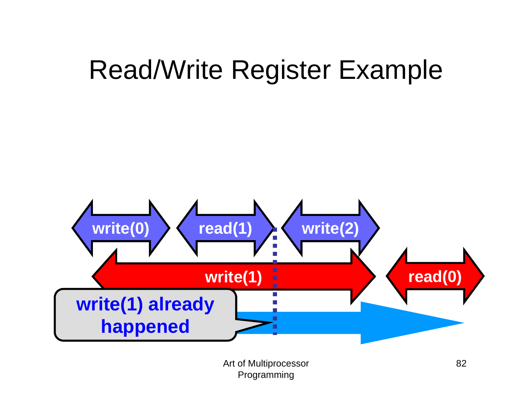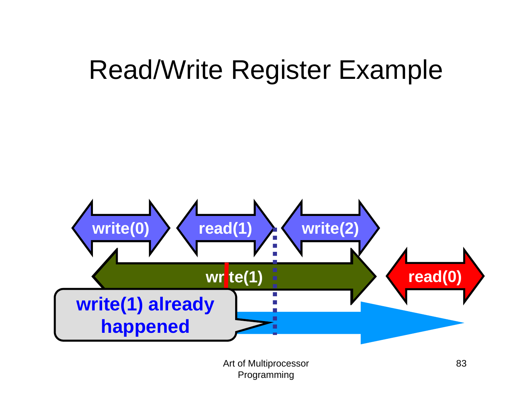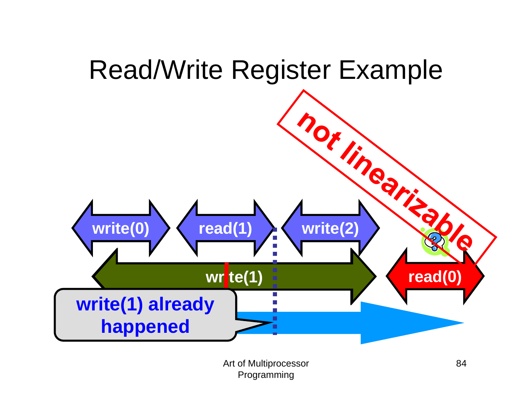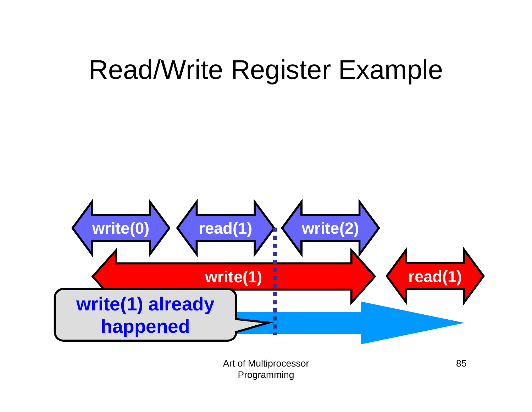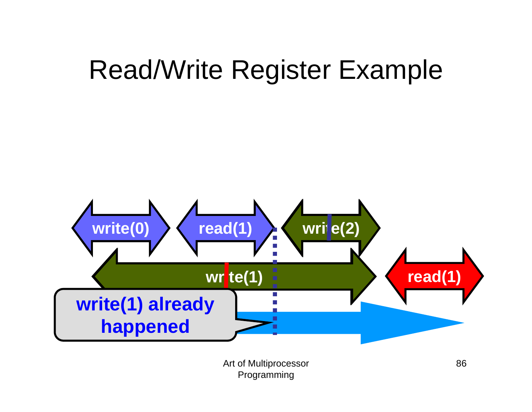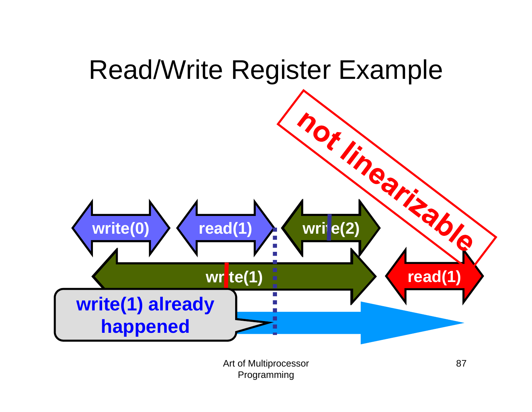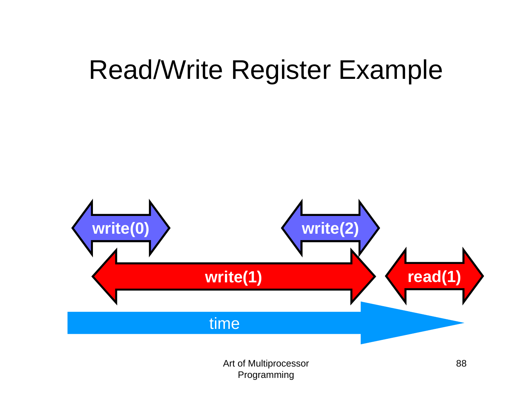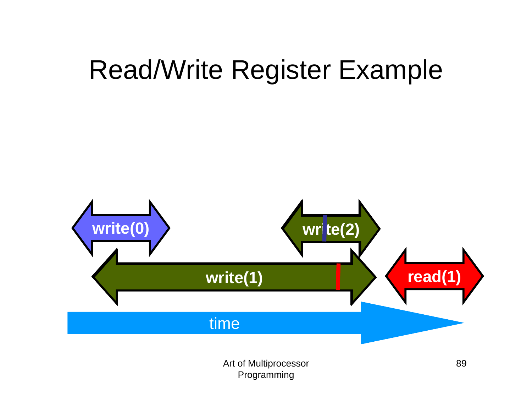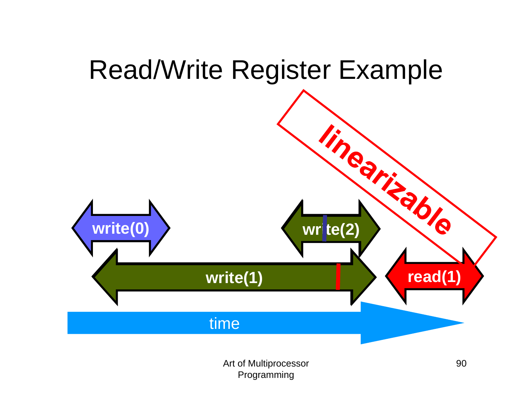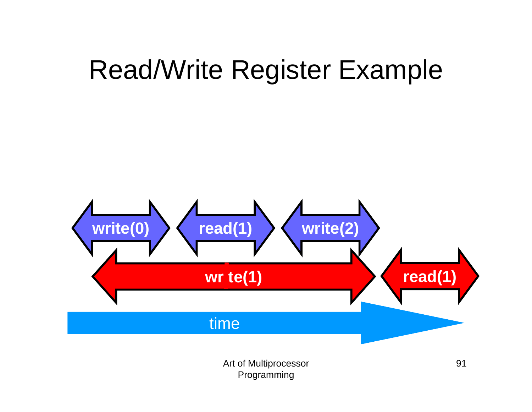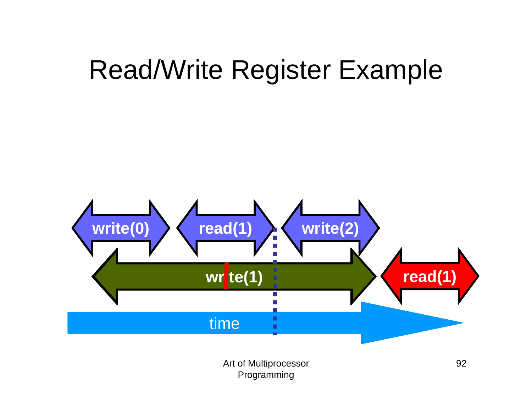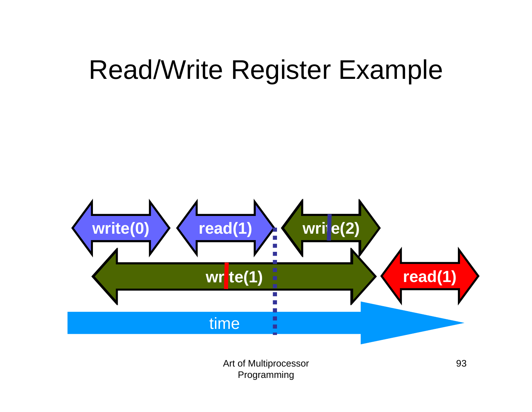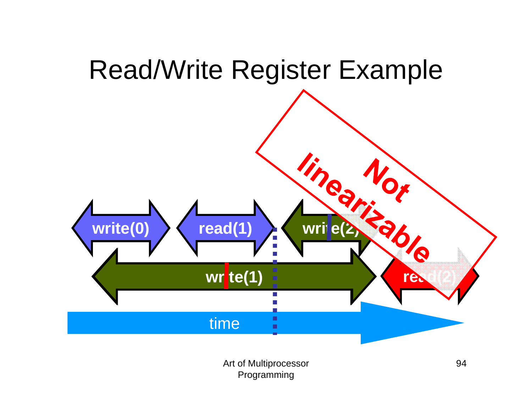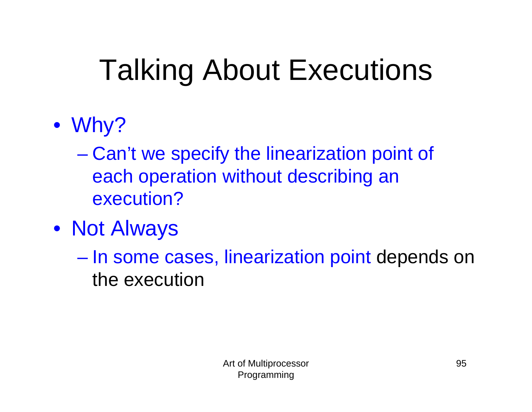# Talking About Executions

- Why?
	- Can't we specify the linearization point of each operation without describing an execution?
- Not Always
	- – In some cases, linearization point depends on the execution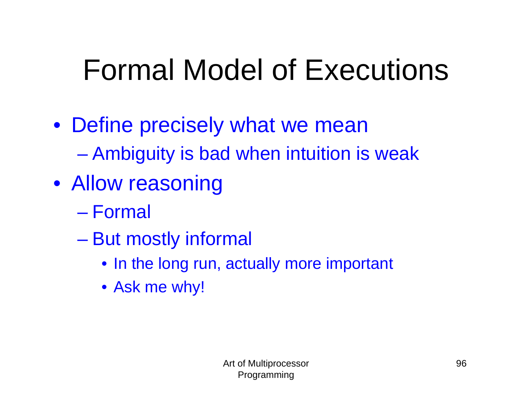# Formal Model of Executions

- Define precisely what we mean Ambiguity is bad when intuition is weak
- Allow reasoning
	- Formal
	- But mostly informal
		- In the long run, actually more important
		- Ask me why!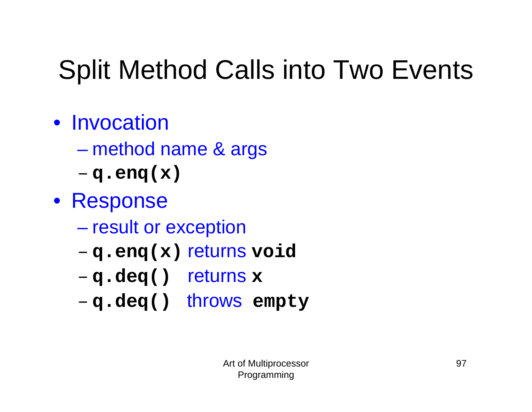# Split Method Calls into Two Events

• Invocation

- –method name & args
- **Links of the Common q.enq(x)**
- Response
	- $\mathcal{L}_{\mathcal{A}}$ result or exception
	- **Links of the Common q.enq(x)** returns **void**
	- **Links of the Common q.deq()** returns **<sup>x</sup>**
	- **Links of the Common q.deq()** throws **empty**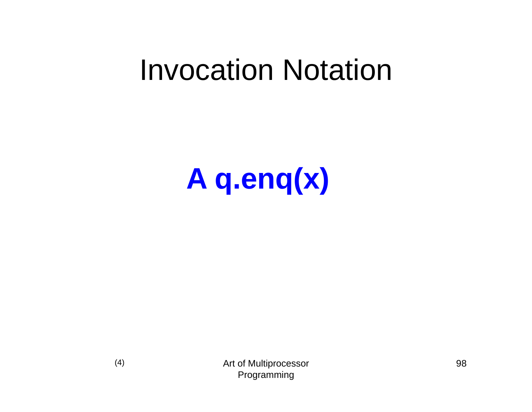# **A q.enq(x)**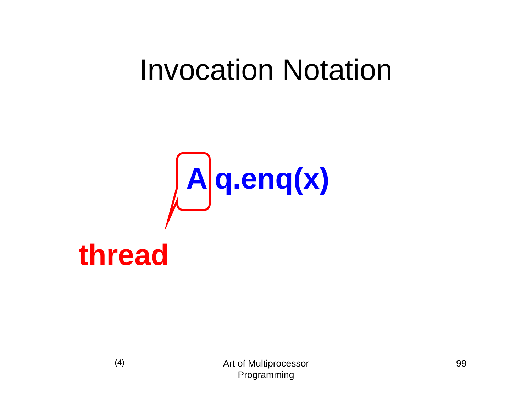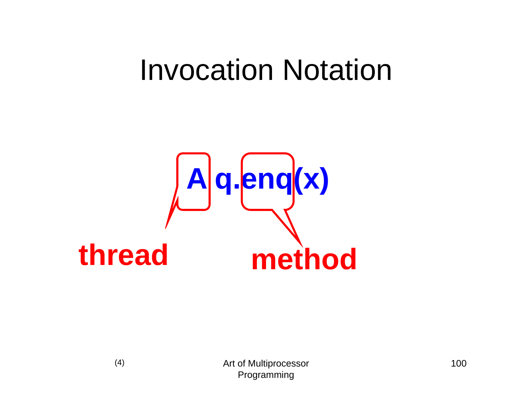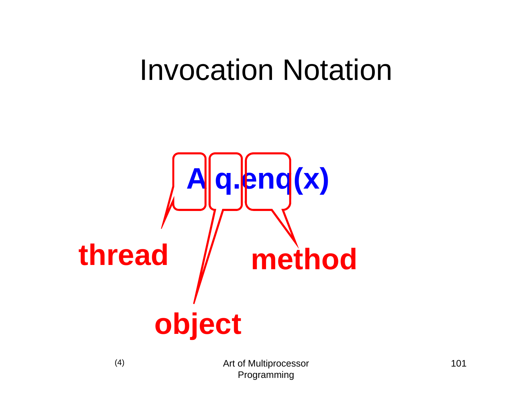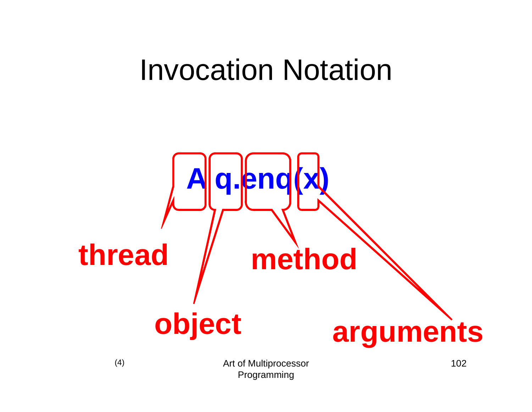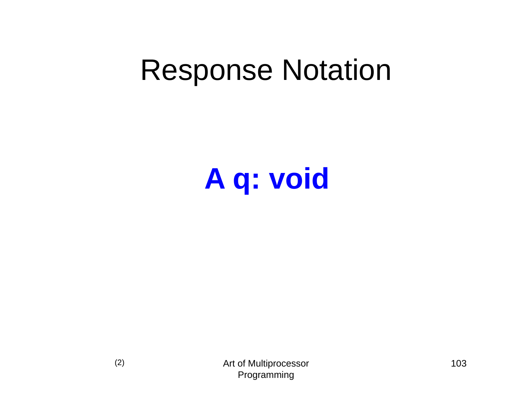# **A q: void**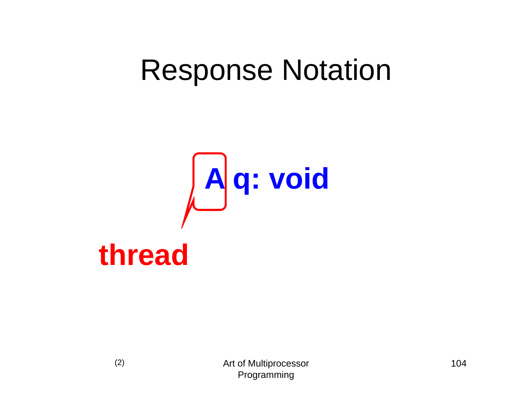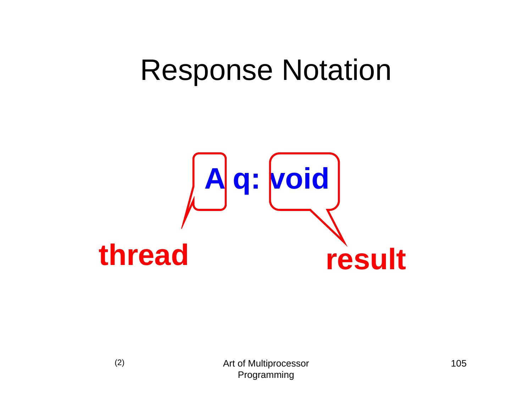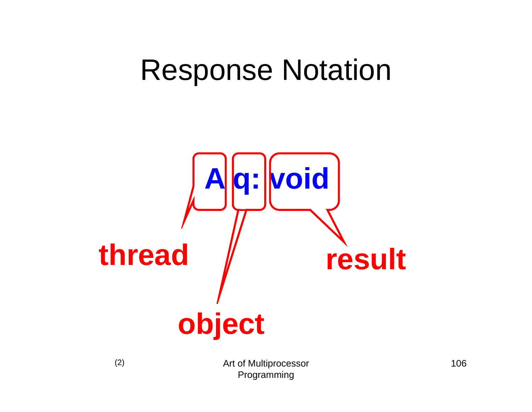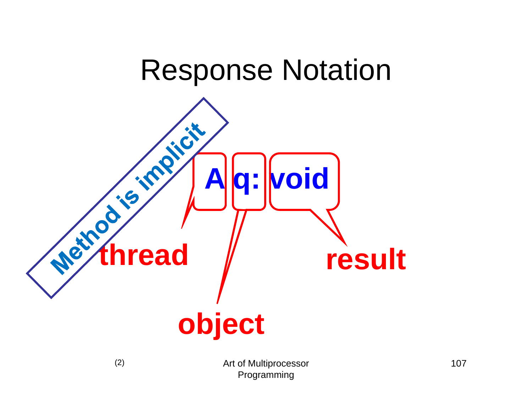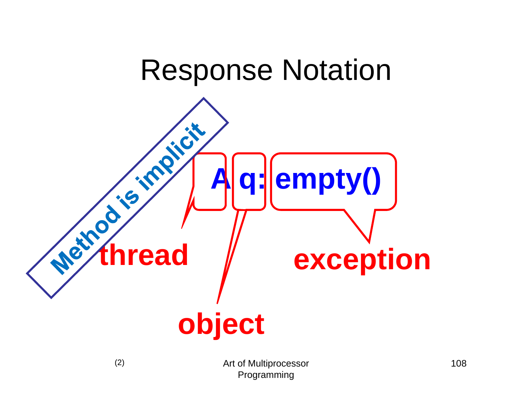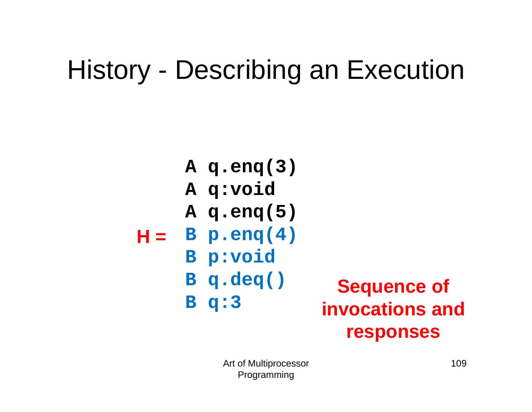## History - Describing an Execution

**A q.enq(3) A q:void A q.enq(5) B p.enq(4) H =B p:void B q.deq() B q:3 Sequence of invocations and** 

**responses**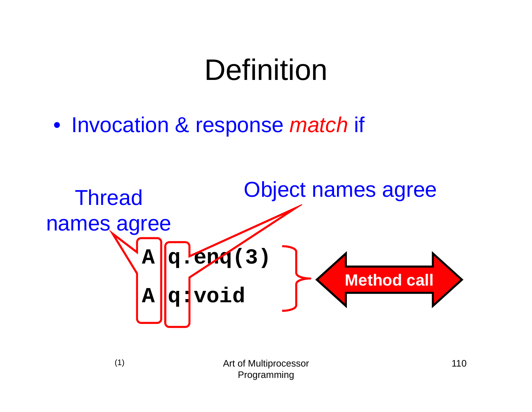# **Definition**

• Invocation & response *match* if



110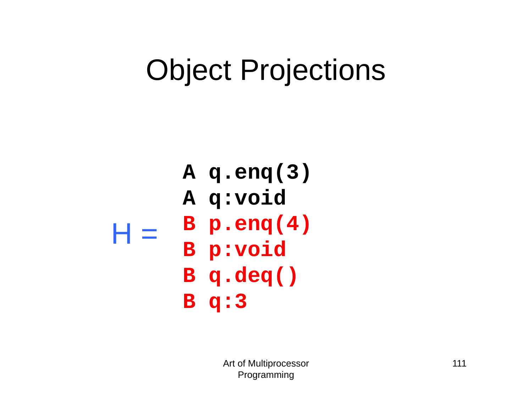# Object Projections

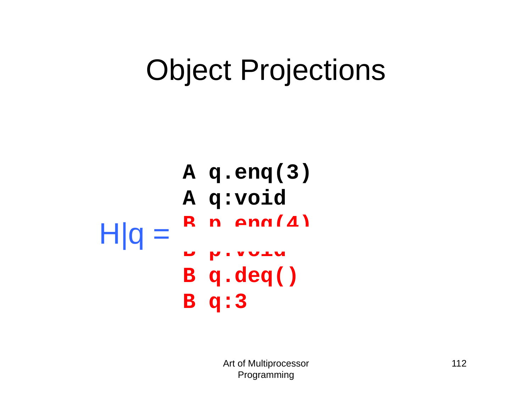# Object Projections

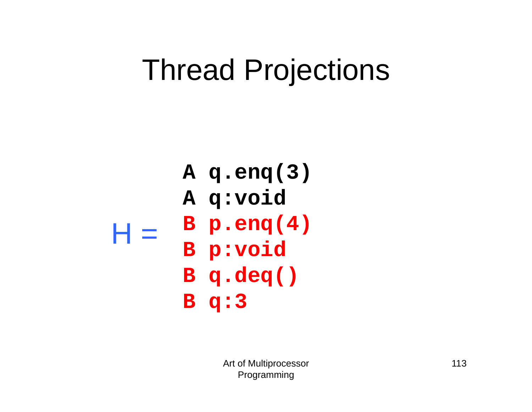## Thread Projections

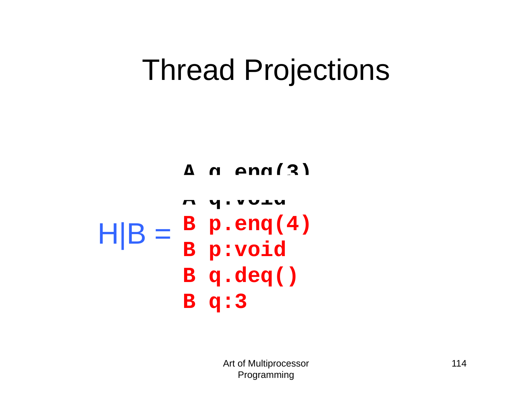## Thread Projections

```
A q.enq(3)
       A q:void
      B p.enq(4)
      B p:void
      B q.deq()
      B q:3
H|B|
```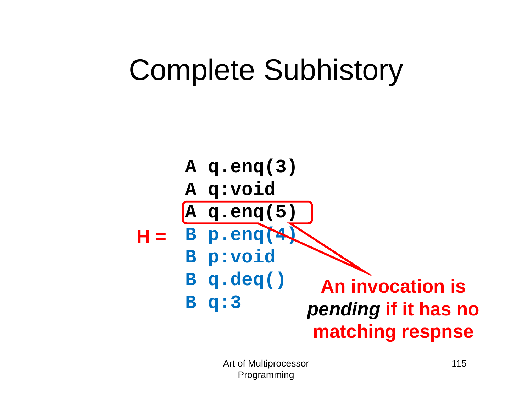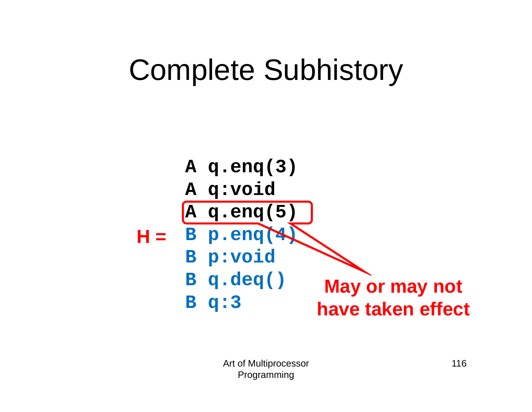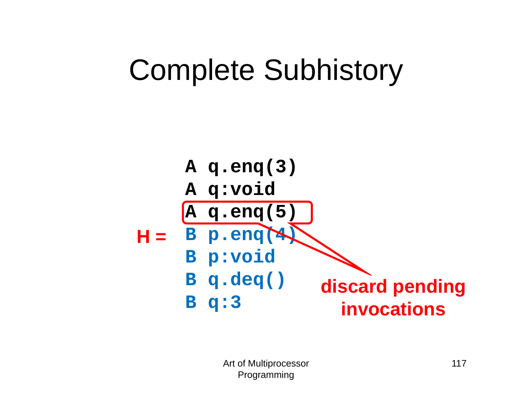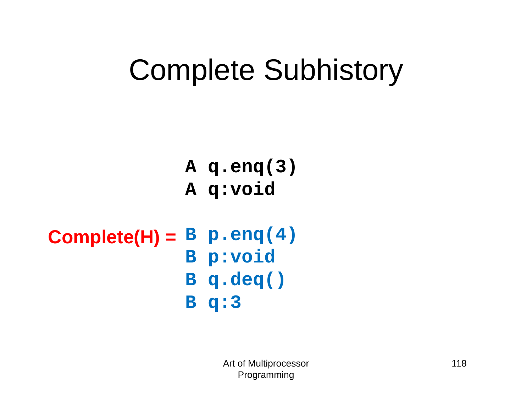**A q.enq(3) A q:void**

```
B p.enq(4)
Complete(H) =B p:void
             B q.deq()
             B q:3
```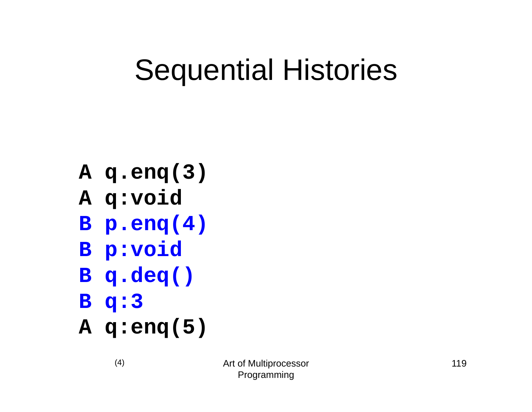- **A q.enq(3)**
- **A q:void**
- **B p.enq(4)**
- **B p:void**
- **B q.deq()**
- **B q:3**
- **A q:enq(5)**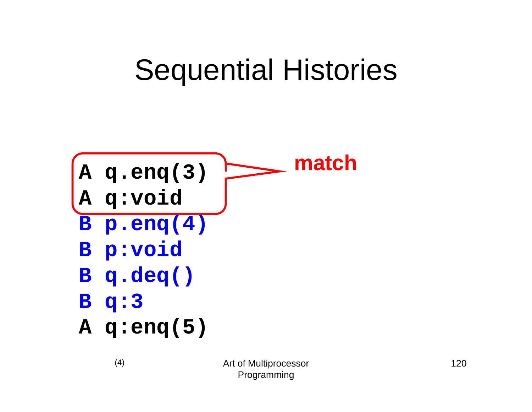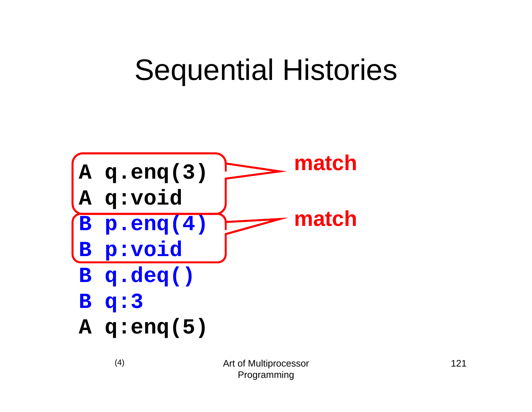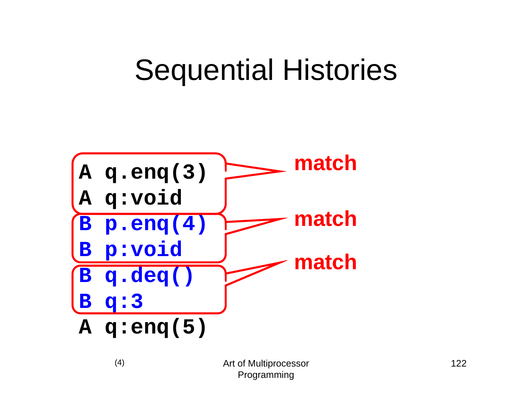

(4)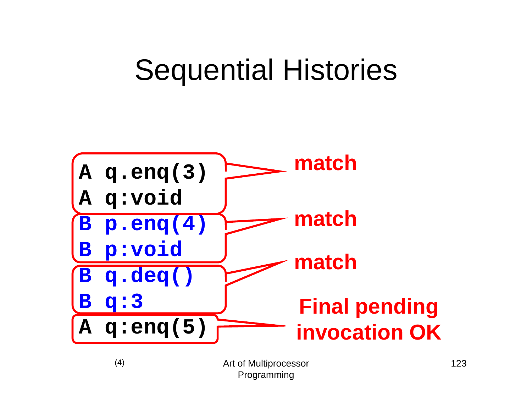

Programming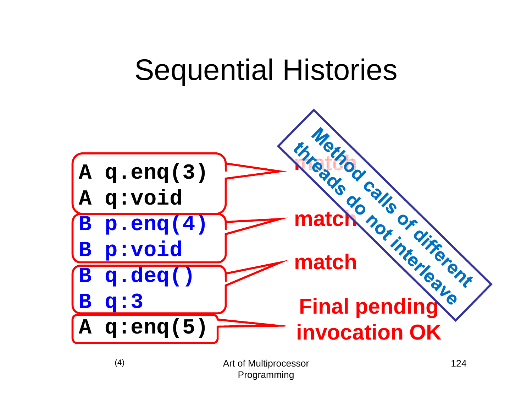

Programming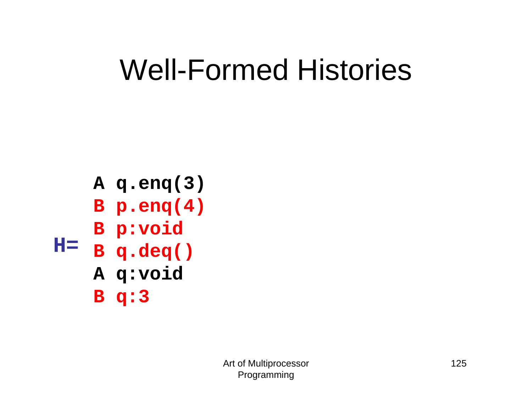## Well-Formed Histories

**A q.enq(3) B p.enq(4) B p:void**

- **H=B q.deq()**
	- **A q:void**

**B q:3**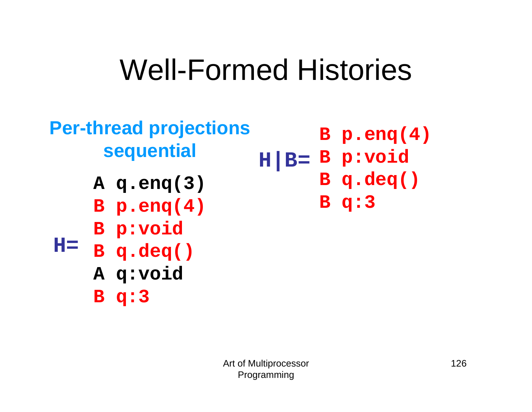## Well-Formed Histories

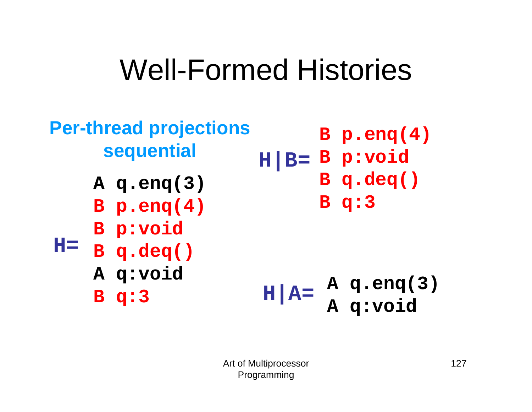## Well-Formed Histories

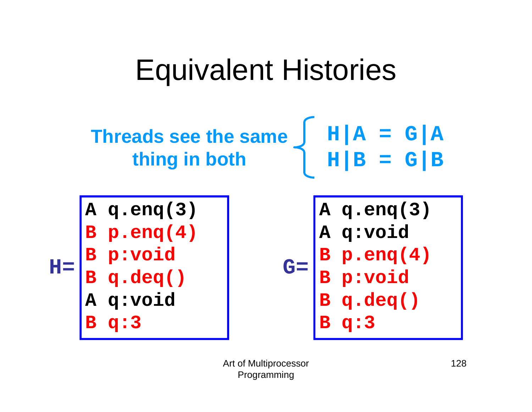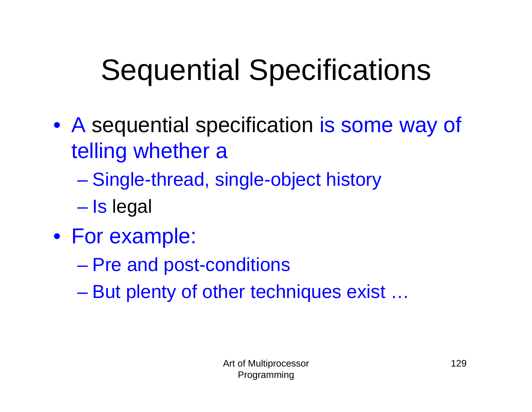# Sequential Specifications

- A sequential specification is some way of telling whether a
	- $\mathcal{L}_{\mathcal{A}}$ Single-thread, single-object history
	- Is legal
- For example:
	- Pre and post-conditions
	- But plenty of other techniques exist …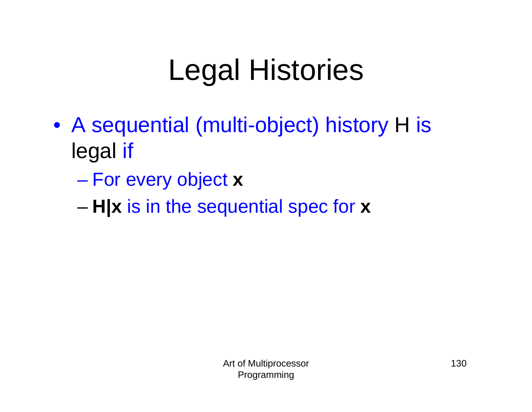# Legal Histories

- A sequential (multi-object) history H is legal if
	- $\mathcal{L}_{\mathcal{A}}$ For every object **<sup>x</sup>**
	- **H|x** is in the sequential spec for **<sup>x</sup>**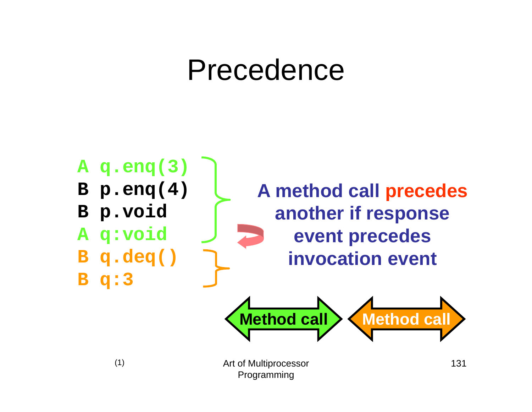#### Precedence

**A q.enq(3) B p.enq(4) B p.void A q:void B q.deq() B q:3**

**A method call precedes another if response event precedes invocation event**

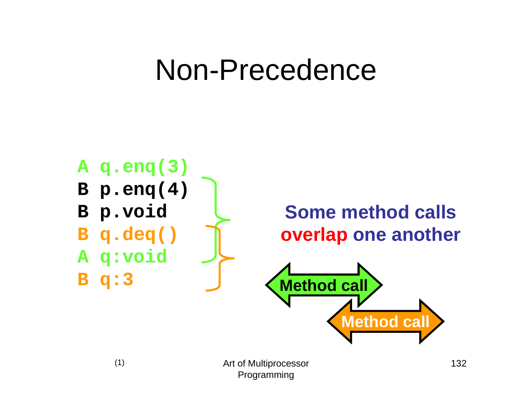#### Non-Precedence

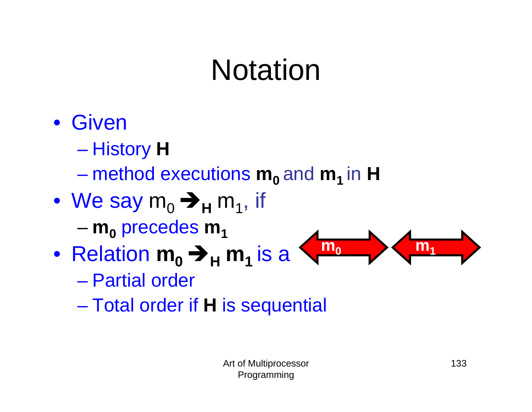# Notation

- Given
	- –History **H**

 $\mathcal{L}_{\mathcal{A}}$ method executions **m0** and **m1** in **H**

- $\bullet\,$  We say m $_{\rm 0}$   $\blacktriangleright_{\mathsf H}$  m $_{\rm 1},$  if  $-$  **m<sub>0</sub> precedes m<sub>1</sub>**
- Relation  $m_0$   $\rightarrow$   $H$   $m_1$  is a
	- Partial order
	- Total order if **H** is sequential

 $m_0$ 

 $m<sub>1</sub>$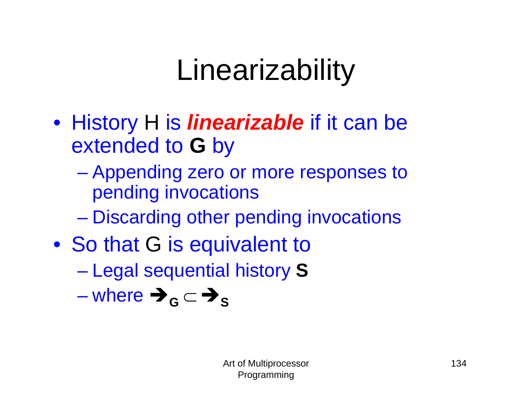# Linearizability

- History H is *linearizable* if it can be extended to **G** by
	- $\mathcal{L}_{\mathcal{A}}$  , and the set of the set of the set of the set of the set of the set of the set of the set of the set of the set of the set of the set of the set of the set of the set of the set of the set of the set of th Appending zero or more responses to pending invocations
	- Discarding other pending invocations
- So that G is equivalent to
	- $\mathcal{L}_{\mathcal{A}}$  , and the set of the set of the set of the set of the set of the set of the set of the set of the set of the set of the set of the set of the set of the set of the set of the set of the set of the set of th Legal sequential history **S**

where  $\bigtriangledown_{\mathsf{G}} \subset \bigtriangledown_{\mathsf{S}}$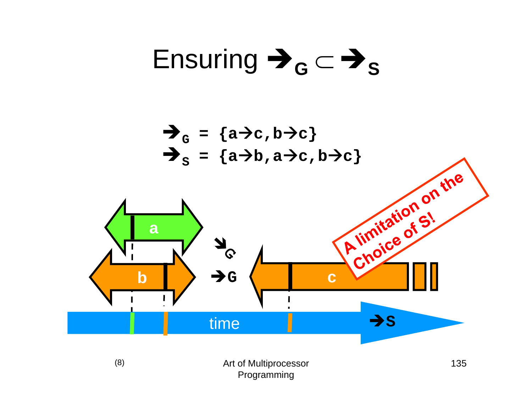Ensuring  $\blacktriangleright_{\mathsf{G}} \subset \blacktriangleright_{\mathsf{S}}$ 

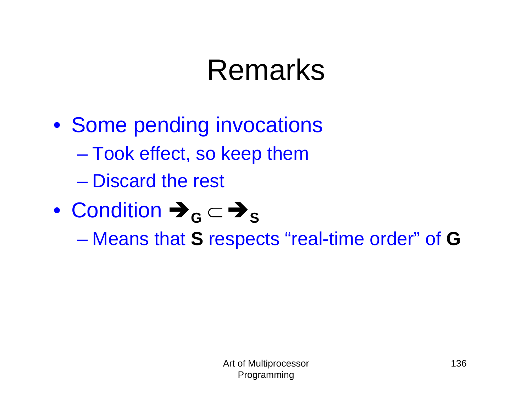## Remarks

- Some pending invocations
	- Took effect, so keep them
	- Discard the rest
- Condition  $\rightarrow$   $_{\mathsf{G}}$   $\subset$   $\rightarrow$   $_{\mathsf{S}}$ 
	- Means that **S** respects "real-time order" of **G**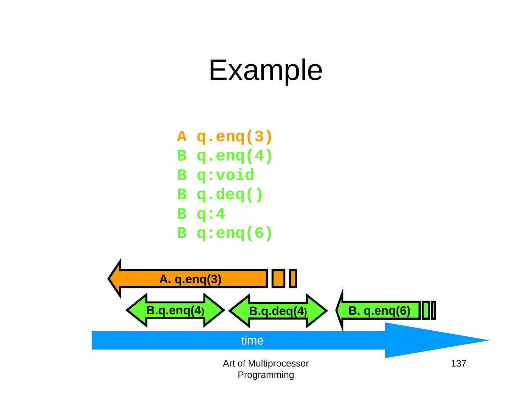

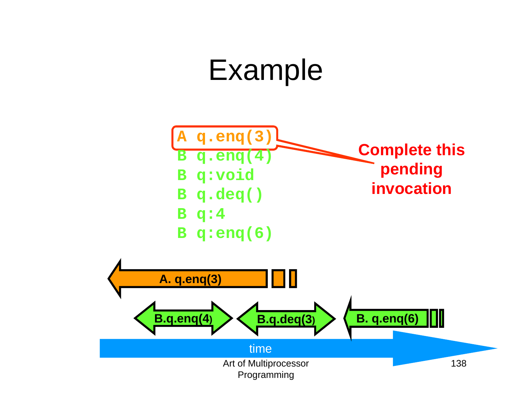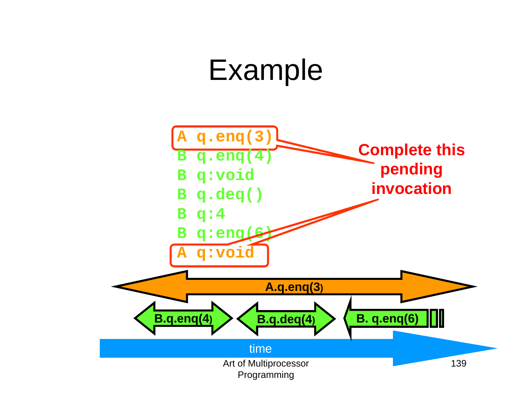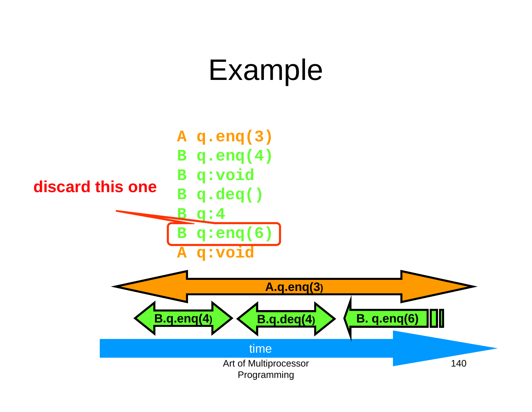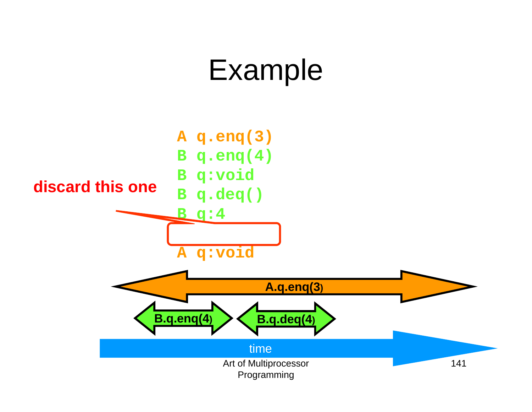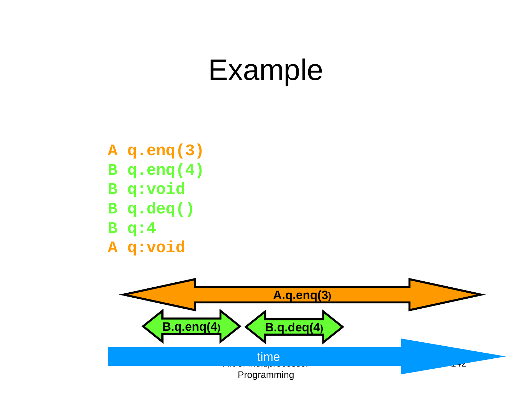- **A q.enq(3)**
- **B q.enq(4)**
- **B q:void**
- **B q.deq()**
- **B q:4**
- **A q:void**

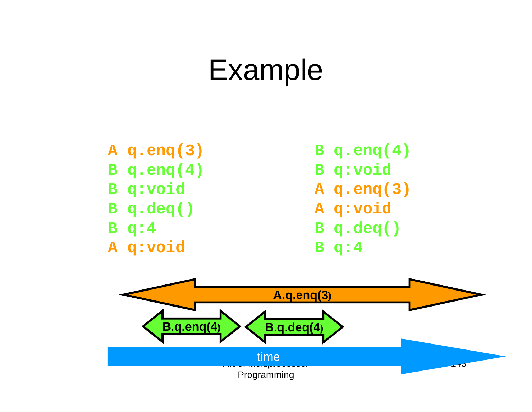- **A q.enq(3)**
- **B q.enq(4)**
- **B q:void**
- **B q.deq()**
- **B q:4**
- **A q:void**
- **B q.enq(4)**
- **B q:void**
- **A q.enq(3)**
- **A q:void**
- **B q.deq()**
- **B q:4**

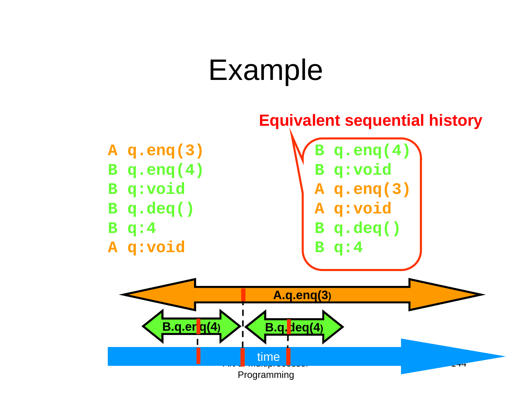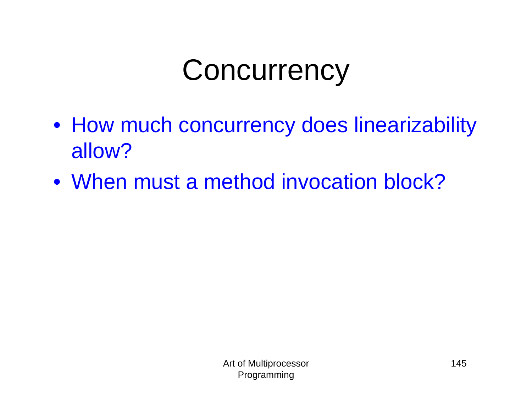# **Concurrency**

- How much concurrency does linearizability allow?
- When must a method invocation block?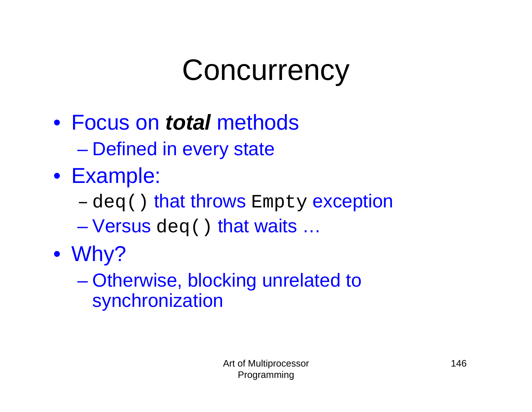# **Concurrency**

- Focus on *total* methods
	- –Defined in every state
- Example:
	- **Little Committee** deq() that throws Empty exception
	- $\mathcal{L}_{\mathcal{A}}$  , and the set of the set of the set of the set of the set of the set of the set of the set of the set of the set of the set of the set of the set of the set of the set of the set of the set of the set of th Versus deq() that waits ...
- Why?
	- – Otherwise, blocking unrelated to synchronization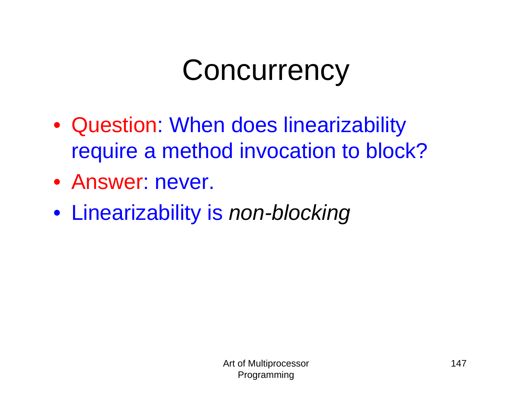# **Concurrency**

- Question: When does linearizability require a method invocation to block?
- Answer: never.
- Linearizability is *non-blocking*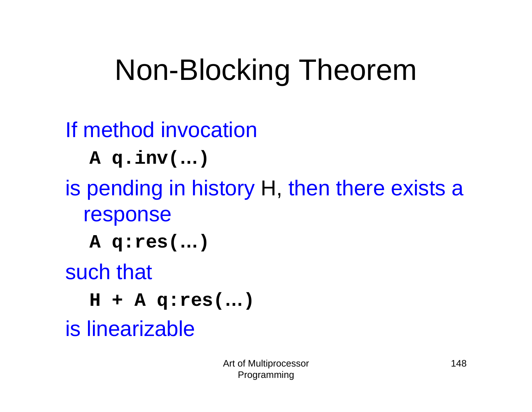# Non-Blocking Theorem

```
If method invocationA q.inv(…)
is pending in history H, then there exists a 
 response
  A q:res(…)
such that
  H + A q:res(…)
is linearizable
```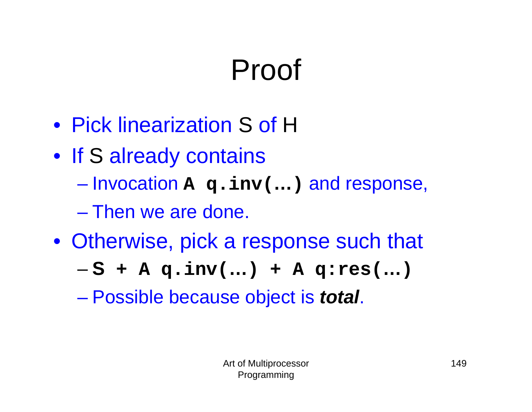# Proof

- Pick linearization S of H
- If S already contains
	- –Invocation **<sup>A</sup> q.inv(…)** and response,

– Then we are done.

- Otherwise, pick a response such that
	- **S + A q.inv(…) + A q:res(…)**

Possible because object is *total*.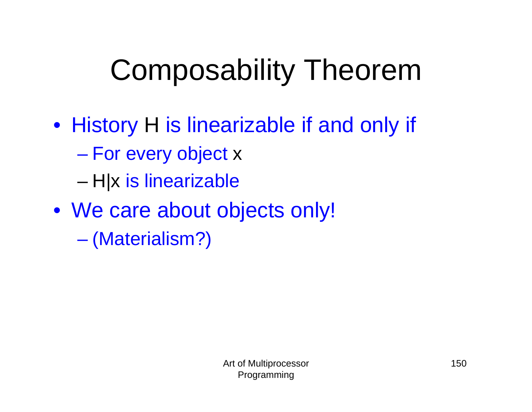# Composability Theorem

- History H is linearizable if and only if
	- For every object x
	- –H|x is linearizable
- We care about objects only!
	- (Materialism?)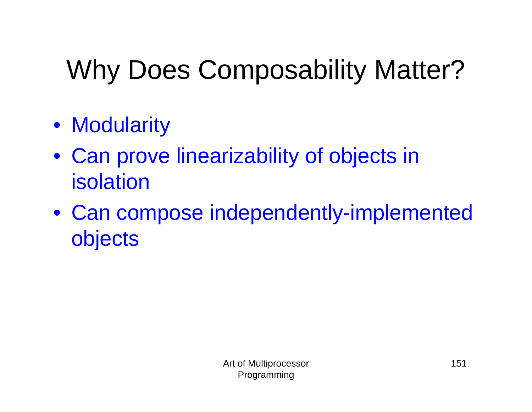# Why Does Composability Matter?

- Modularity
- Can prove linearizability of objects in isolation
- Can compose independently-implemented objects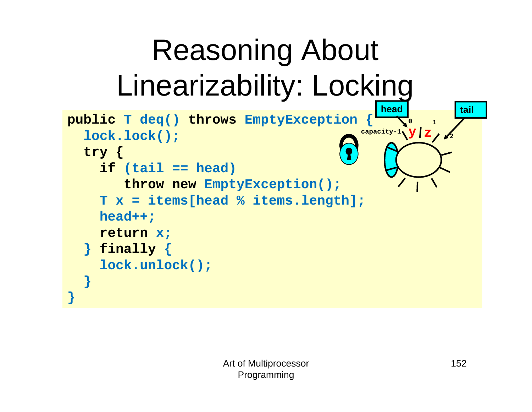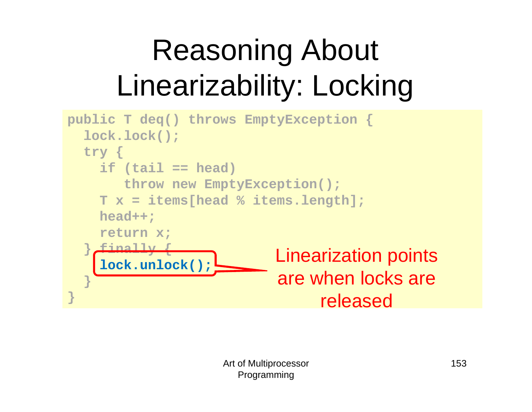# Reasoning About Linearizability: Locking

```
public T deq() throws EmptyException {
  lock.lock(); 
  try { 
    if (tail == head) 
       throw new EmptyException(); 
    T x = items[head % items.length]; 
    head++; 
    return x; 
    } finally { 
    lock.unlock(); 
  } 
} 
                            Linearization points
                            are when locks are 
                                  released
```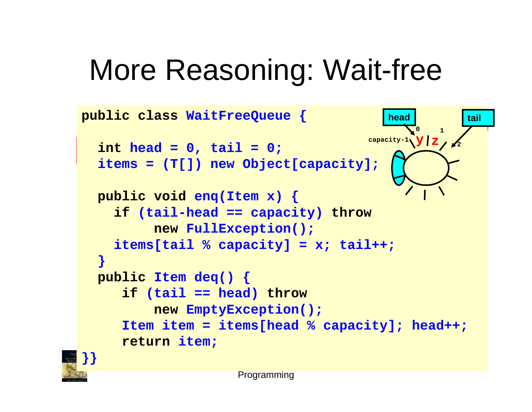# More Reasoning: Wait-free

```
1z
                                          headheadtail let
public class WaitFreeQueue {
  int head = 0, tail = 0; 
  items = (T[]) new Object[capacity]; 
  public void enq(Item x) {
    if (tail-head == capacity) throw 
          new FullException();
    items[tail % capacity] = x; tail++;
  }
  public Item deq() {
      if (tail == head) throw 
          new EmptyException();
     Item item = items[head % capacity]; head++;
     return item;
                                              00 1
                                        \frac{2}{\sqrt{2}} z \frac{2}{\sqrt{2}} tail
```
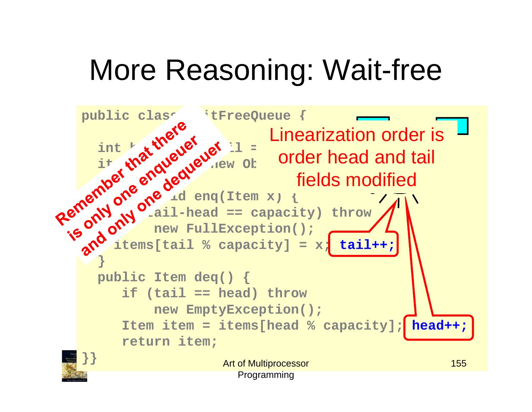# More Reasoning: Wait-free



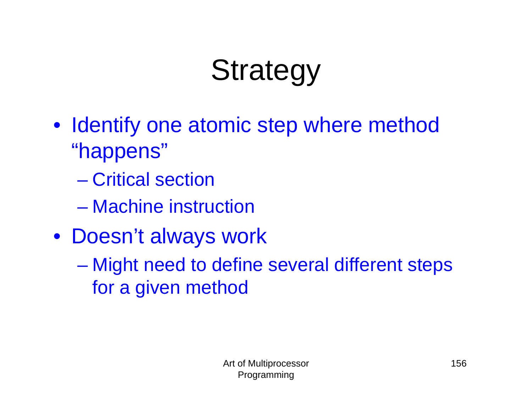# **Strategy**

- Identify one atomic step where method "happens"
	- Critical section
	- Machine instruction
- Doesn't always work
	- Might need to define several different steps for a given method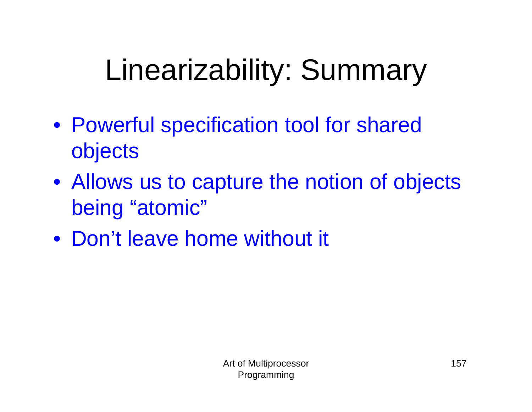# Linearizability: Summary

- Powerful specification tool for shared objects
- Allows us to capture the notion of objects being "atomic"
- Don't leave home without it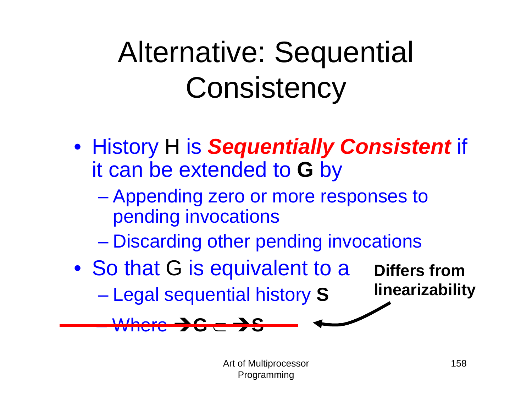# Alternative: Sequential **Consistency**

- History H is *Sequentially Consistent* if it can be extended to **G** by
	- **Line Common**  Appending zero or more responses to pending invocations
	- **Links of the Company** Discarding other pending invocations
- So that G is equivalent to a **Law Address Control** Legal sequential history **S**

**S**

 $Mh$ 

**Differs from linearizability**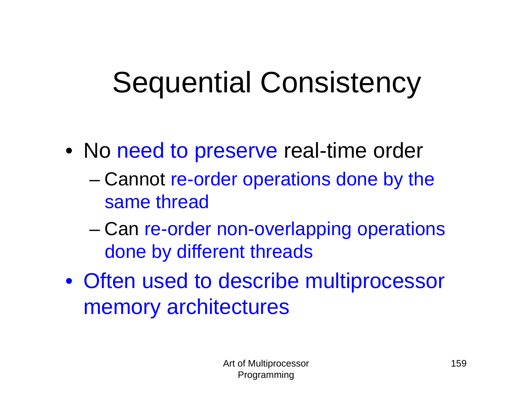# Sequential Consistency

- No need to preserve real-time order
	- – Cannot re-order operations done by the same thread
	- Can re-order non-overlapping operations done by different threads
- Often used to describe multiprocessor memory architectures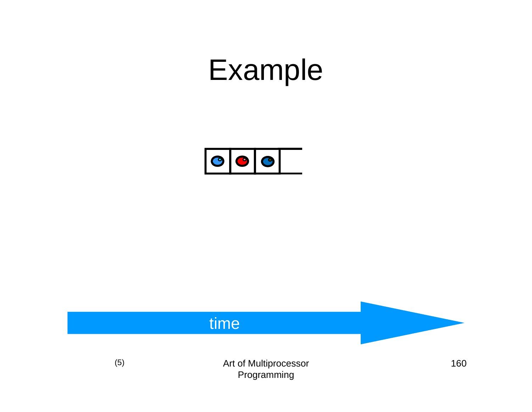

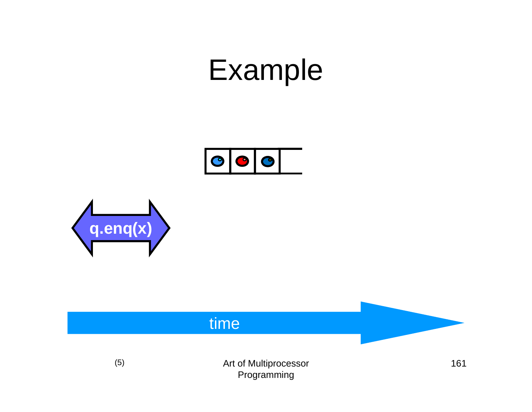



### time

(5)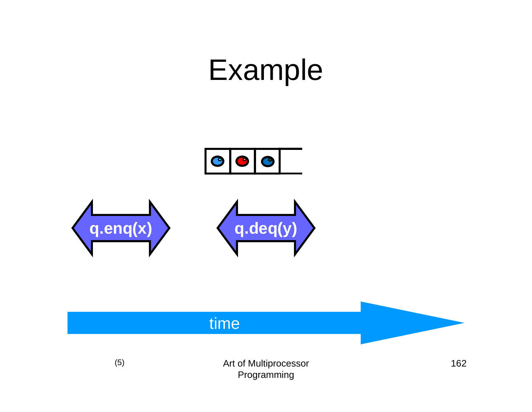





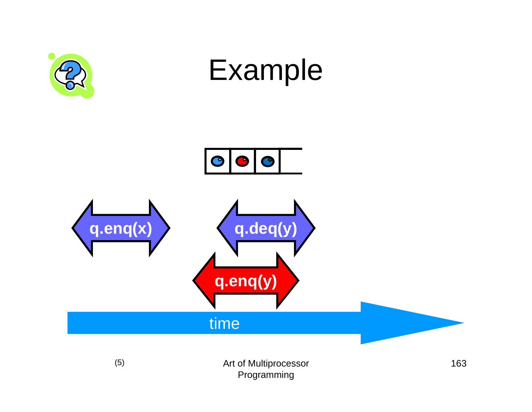



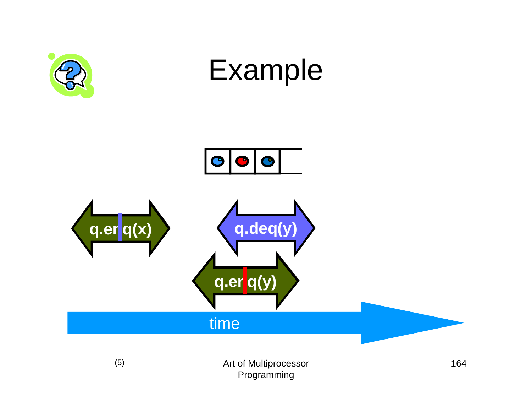



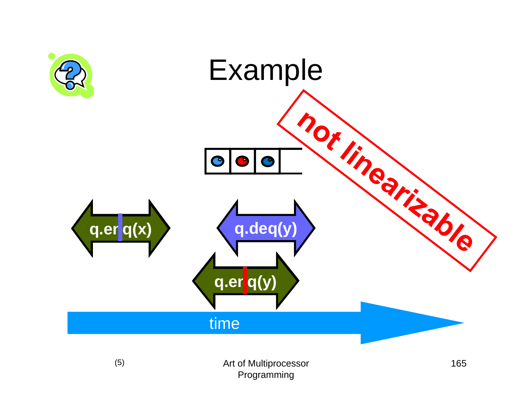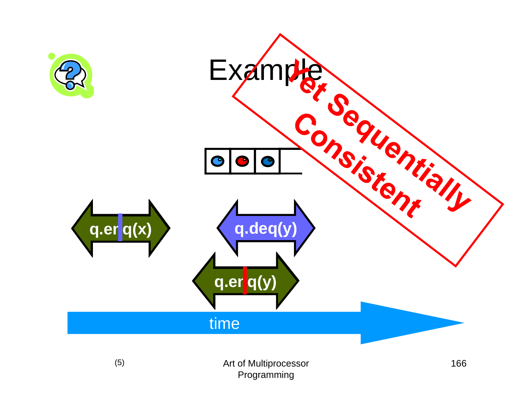

Programming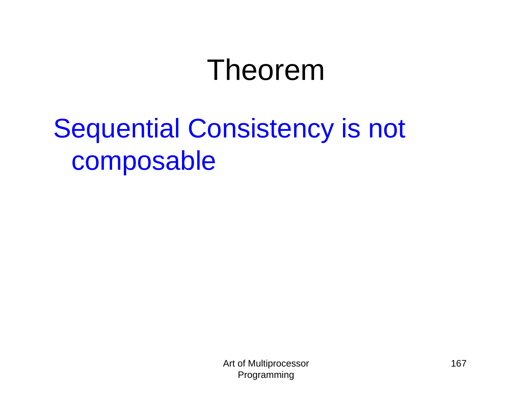## Theorem

### Sequential Consistency is not composable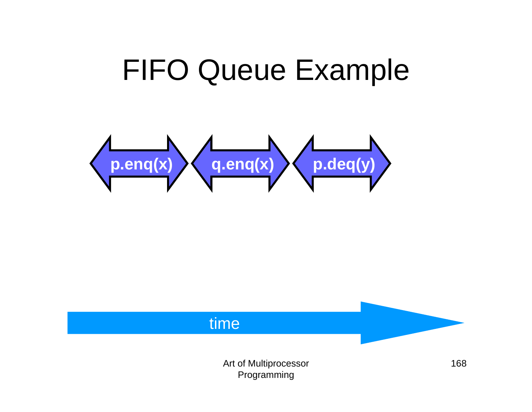## FIFO Queue Example



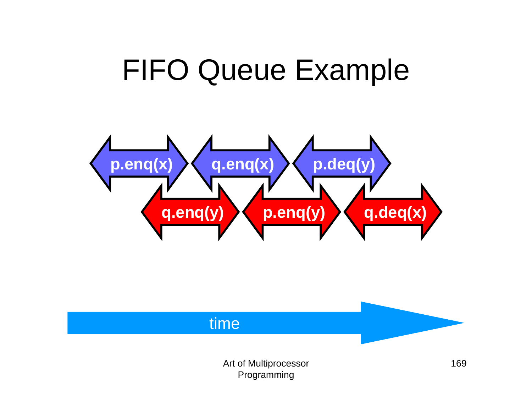## FIFO Queue Example



#### time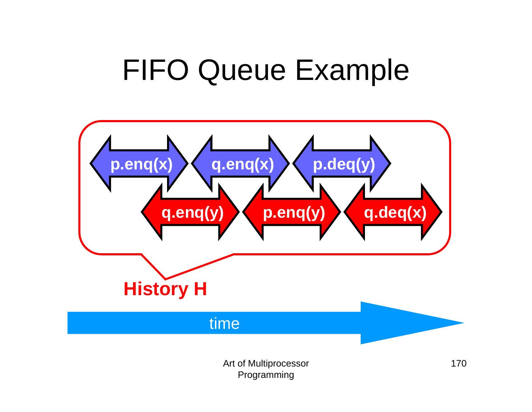## FIFO Queue Example

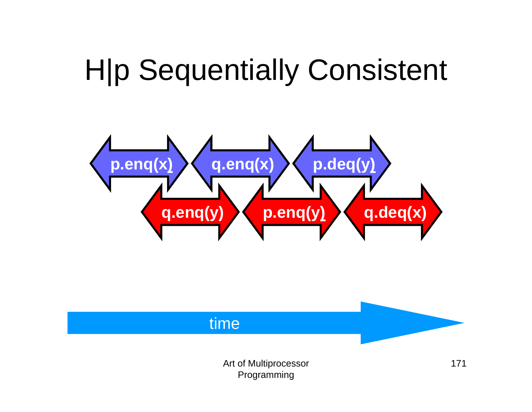# H|p Sequentially Consistent



### time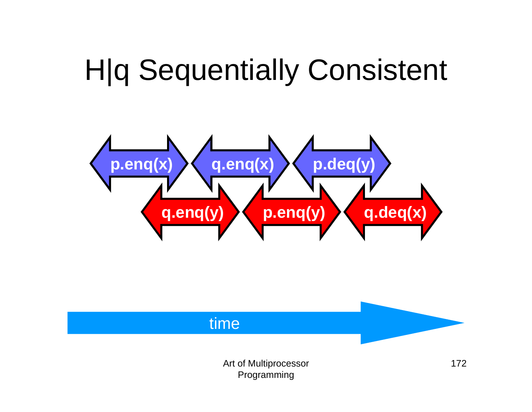# H|q Sequentially Consistent



### time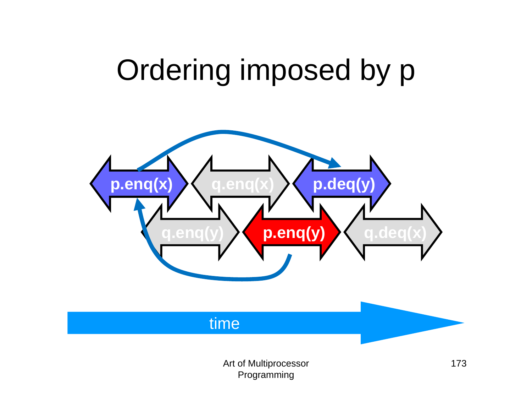# Ordering imposed by p

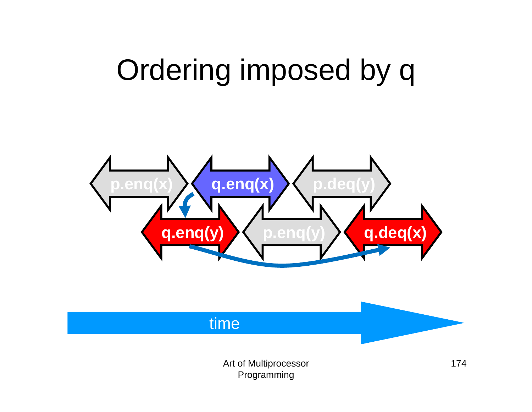# Ordering imposed by q



### time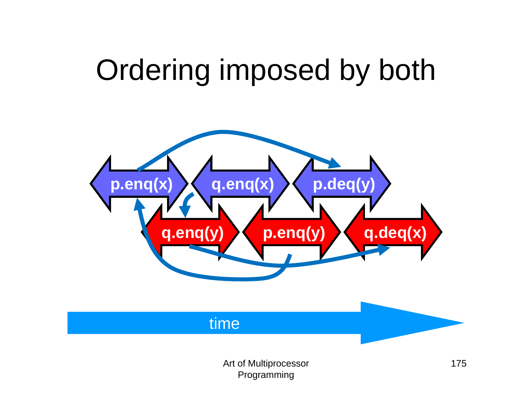# Ordering imposed by both

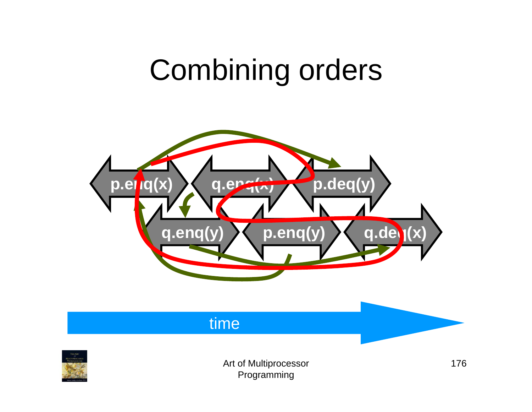## Combining orders



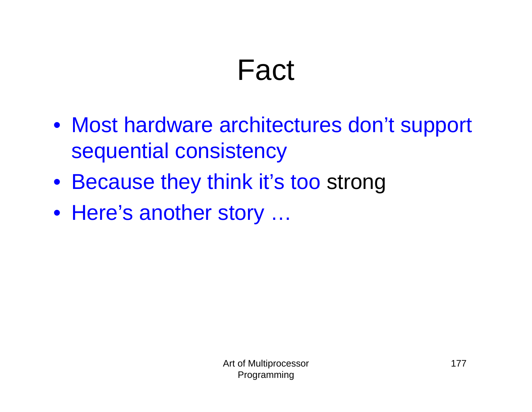## Fact

- Most hardware architectures don't support sequential consistency
- Because they think it's too strong
- Here's another story …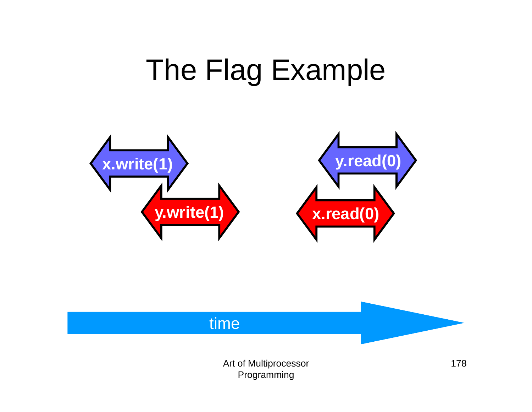## The Flag Example



#### time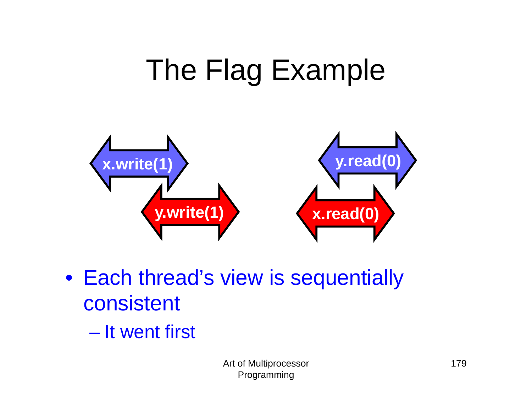# The Flag Example



- Each thread's view is sequentially consistent
	- It went first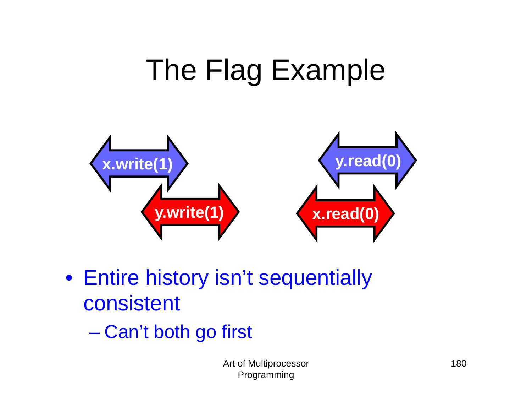# The Flag Example



- Entire history isn't sequentially consistent
	- $\Gamma$  Can't hoth an fire Can't both go first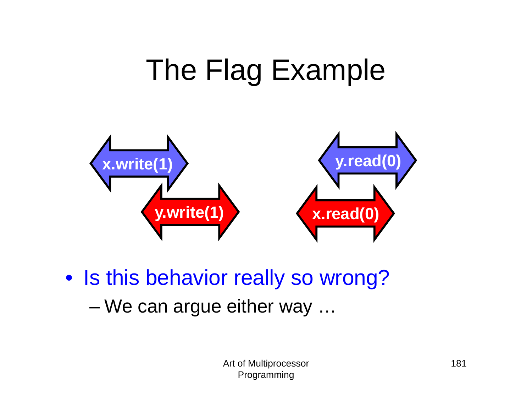## The Flag Example



• Is this behavior really so wrong?

–We can argue either way …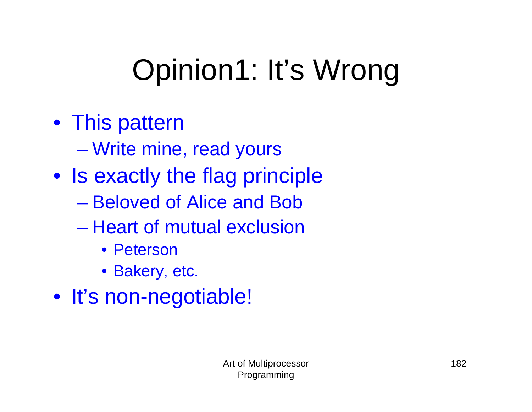# Opinion1: It's Wrong

- This pattern
	- –Write mine, read yours
- Is exactly the flag principle
	- Beloved of Alice and Bob
	- Heart of mutual exclusion
		- Peterson
		- Bakery, etc.
- It's non-negotiable!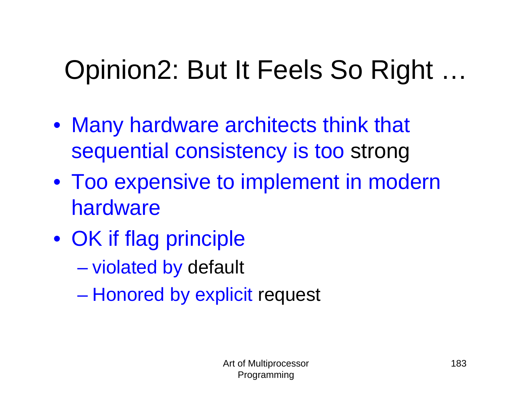#### Opinion2: But It Feels So Right …

- Many hardware architects think that sequential consistency is too strong
- Too expensive to implement in modern hardware
- OK if flag principle
	- $\mathcal{L}_{\mathcal{A}}$ violated by default
	- Honored by explicit request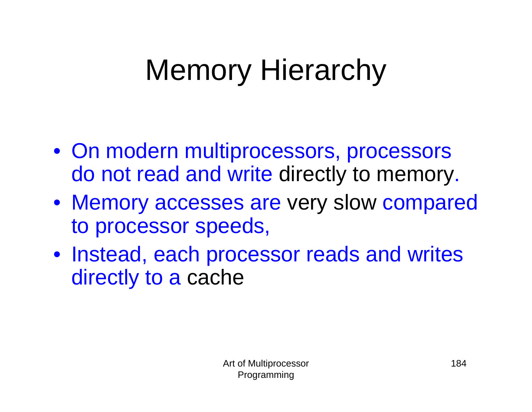## Memory Hierarchy

- On modern multiprocessors, processors do not read and write directly to memory.
- Memory accesses are very slow compared to processor speeds,
- Instead, each processor reads and writes directly to a cache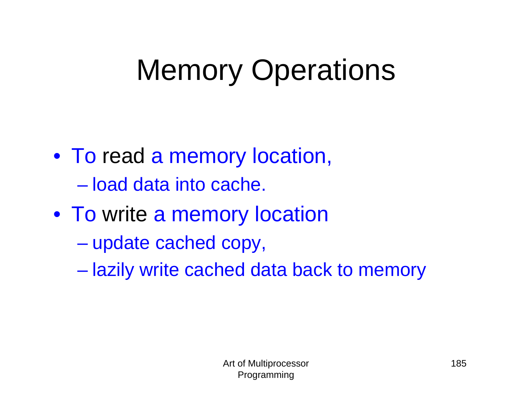## Memory Operations

- To read a memory location, – load data into cache.
- To write a memory location
	- $\mathcal{L}_{\mathcal{A}}$  , and the set of the set of the set of the set of the set of the set of the set of the set of the set of the set of the set of the set of the set of the set of the set of the set of the set of the set of th update cached copy,
	- –lazily write cached data back to memory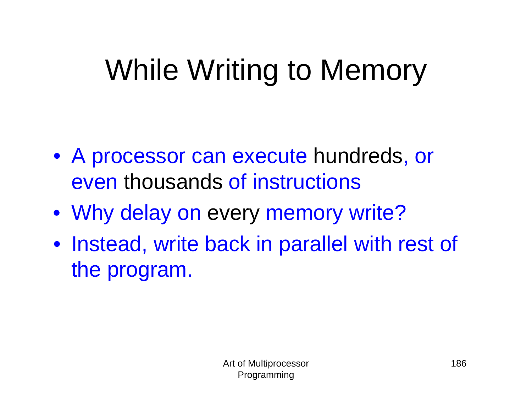## While Writing to Memory

- A processor can execute hundreds, or even thousands of instructions
- Why delay on every memory write?
- Instead, write back in parallel with rest of the program.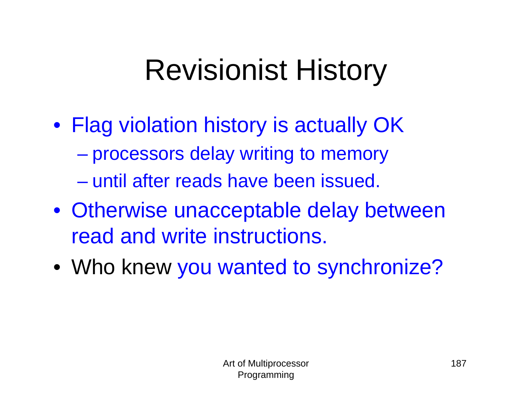## Revisionist History

- Flag violation history is actually OK
	- processors delay writing to memory
	- until after reads have been issued.
- Otherwise unacceptable delay between read and write instructions.
- Who knew you wanted to synchronize?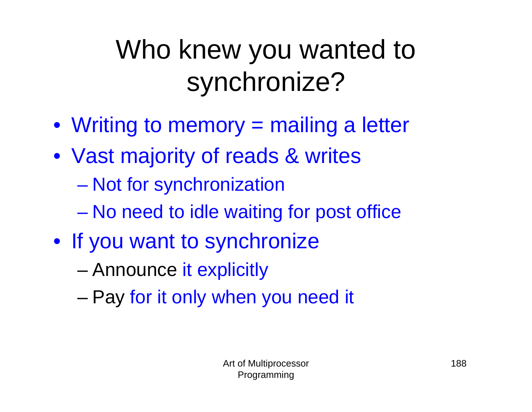#### Who knew you wanted to synchronize?

- Writing to memory = mailing a letter
- Vast majority of reads & writes
	- $\mathcal{L}_{\mathcal{A}}$  , and the set of the set of the set of the set of the set of the set of the set of the set of the set of the set of the set of the set of the set of the set of the set of the set of the set of the set of th Not for synchronization
	- $\mathcal{L}_{\mathcal{A}}$ No need to idle waiting for post office
- If you want to synchronize
	- Announce it explicitly
	- Pay for it only when you need it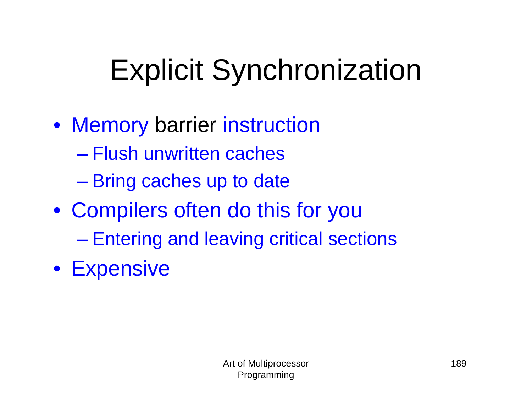## Explicit Synchronization

- Memory barrier instruction
	- Flush unwritten caches
	- $\mathcal{L}_{\mathcal{A}}$ Bring caches up to date
- Compilers often do this for you
	- Entering and leaving critical sections
- Expensive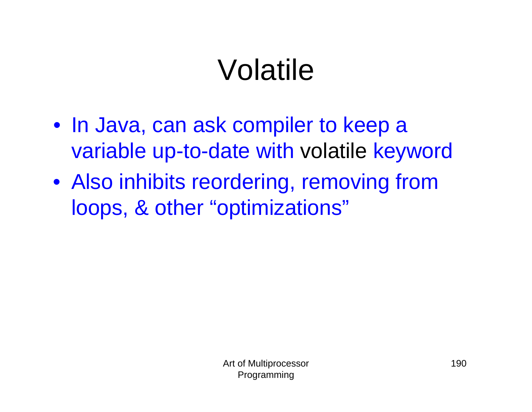## Volatile

- In Java, can ask compiler to keep a variable up-to-date with volatile keyword
- Also inhibits reordering, removing from loops, & other "optimizations"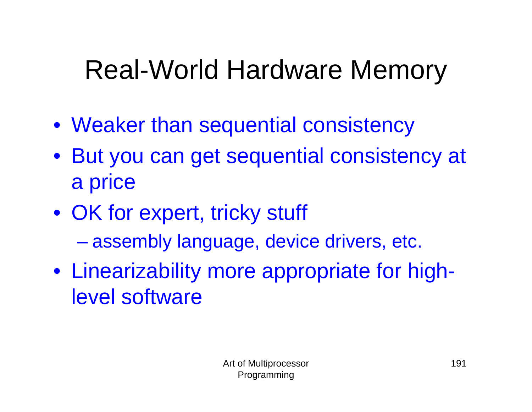#### Real-World Hardware Memory

- Weaker than sequential consistency
- But you can get sequential consistency at a price
- OK for expert, tricky stuff assembly language, device drivers, etc.
- Linearizability more appropriate for highlevel software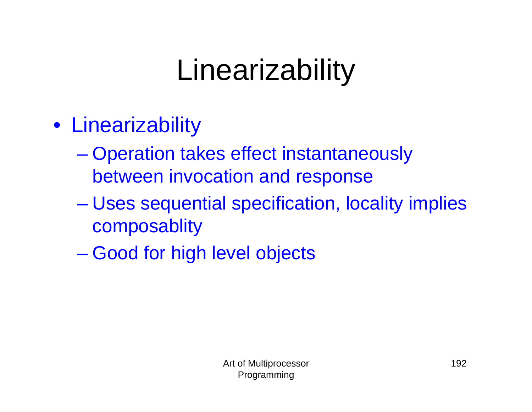## Linearizability

- Linearizability
	- Operation takes effect instantaneously between invocation and response
	- $\mathcal{L}_{\mathcal{A}}$  , and the set of the set of the set of the set of the set of the set of the set of the set of the set of the set of the set of the set of the set of the set of the set of the set of the set of the set of th Uses sequential specification, locality implies composablity
	- Good for high level objects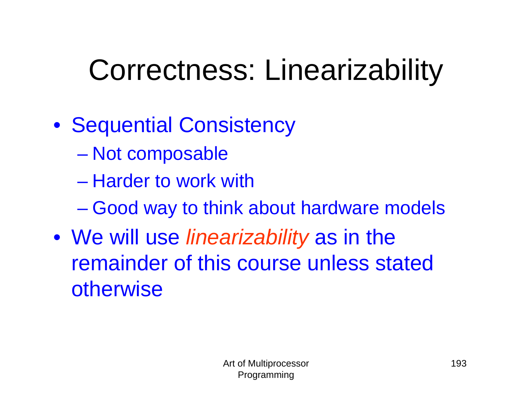## Correctness: Linearizability

- Sequential Consistency
	- Not composable
	- Harder to work with
	- $\mathcal{L}_{\mathcal{A}}$  , and the set of the set of the set of the set of the set of the set of the set of the set of the set of the set of the set of the set of the set of the set of the set of the set of the set of the set of th Good way to think about hardware models
- We will use *linearizability* as in the remainder of this course unless stated **otherwise**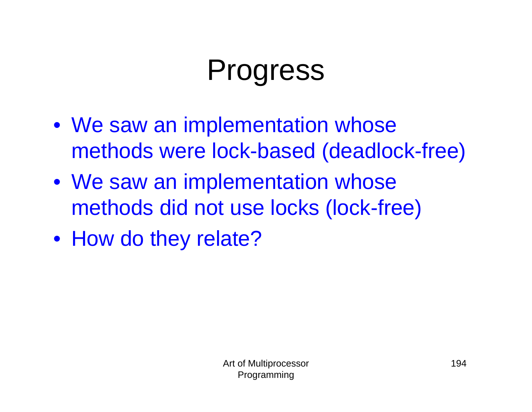## Progress

- We saw an implementation whose methods were lock-based (deadlock-free)
- We saw an implementation whose methods did not use locks (lock-free)
- How do they relate?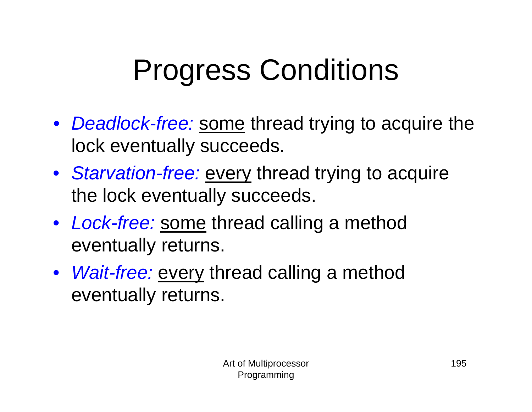# Progress Conditions

- *Deadlock-free:* some thread trying to acquire the lock eventually succeeds.
- *Starvation-free:* every thread trying to acquire the lock eventually succeeds.
- *Lock-free:* some thread calling a method eventually returns.
- *Wait-free:* every thread calling a method eventually returns.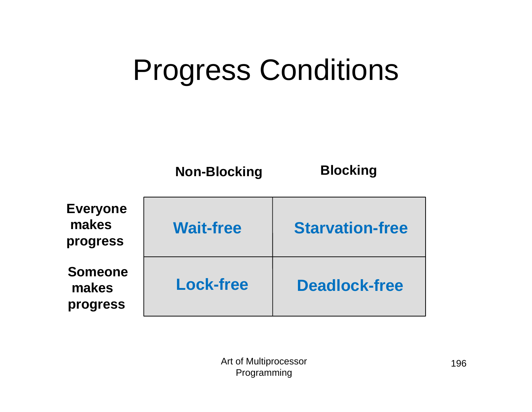## Progress Conditions

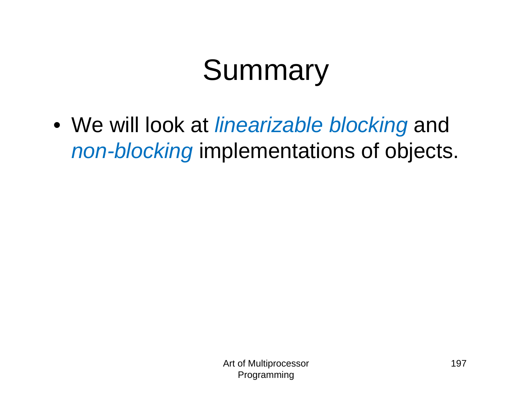## Summary

• We will look at *linearizable blocking* and *non-blocking* implementations of objects.